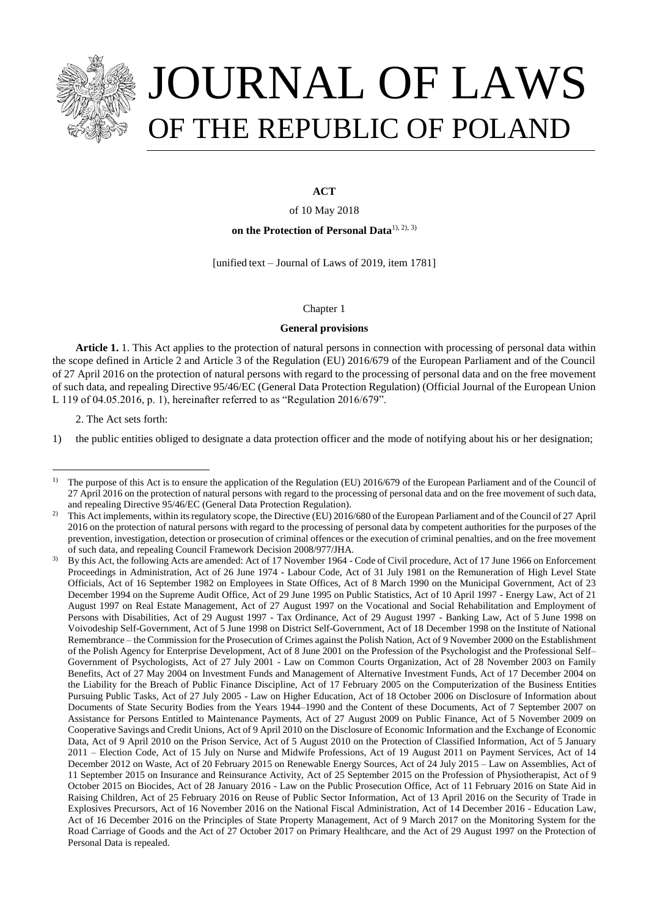

# JOURNAL OF LAWS OF THE REPUBLIC OF POLAND

# **ACT**

of 10 May 2018

**on the Protection of Personal Data**1), 2), 3)

[unified text – Journal of Laws of 2019, item 1781]

# Chapter 1

# **General provisions**

**Article 1.** 1. This Act applies to the protection of natural persons in connection with processing of personal data within the scope defined in Article 2 and Article 3 of the Regulation (EU) 2016/679 of the European Parliament and of the Council of 27 April 2016 on the protection of natural persons with regard to the processing of personal data and on the free movement of such data, and repealing Directive 95/46/EC (General Data Protection Regulation) (Official Journal of the European Union L 119 of 04.05.2016, p. 1), hereinafter referred to as "Regulation 2016/679".

2. The Act sets forth:

a<br>B

1) the public entities obliged to designate a data protection officer and the mode of notifying about his or her designation;

<sup>&</sup>lt;sup>1)</sup> The purpose of this Act is to ensure the application of the Regulation (EU) 2016/679 of the European Parliament and of the Council of 27 April 2016 on the protection of natural persons with regard to the processing of personal data and on the free movement of such data, and repealing Directive 95/46/EC (General Data Protection Regulation).

<sup>&</sup>lt;sup>2)</sup> This Act implements, within its regulatory scope, the Directive (EU) 2016/680 of the European Parliament and of the Council of 27 April 2016 on the protection of natural persons with regard to the processing of personal data by competent authorities for the purposes of the prevention, investigation, detection or prosecution of criminal offences or the execution of criminal penalties, and on the free movement of such data, and repealing Council Framework Decision 2008/977/JHA.

<sup>3)</sup> By this Act, the following Acts are amended: Act of 17 November 1964 - Code of Civil procedure, Act of 17 June 1966 on Enforcement Proceedings in Administration, Act of 26 June 1974 - Labour Code, Act of 31 July 1981 on the Remuneration of High Level State Officials, Act of 16 September 1982 on Employees in State Offices, Act of 8 March 1990 on the Municipal Government, Act of 23 December 1994 on the Supreme Audit Office, Act of 29 June 1995 on Public Statistics, Act of 10 April 1997 - Energy Law, Act of 21 August 1997 on Real Estate Management, Act of 27 August 1997 on the Vocational and Social Rehabilitation and Employment of Persons with Disabilities, Act of 29 August 1997 - Tax Ordinance, Act of 29 August 1997 - Banking Law, Act of 5 June 1998 on Voivodeship Self-Government, Act of 5 June 1998 on District Self-Government, Act of 18 December 1998 on the Institute of National Remembrance – the Commission for the Prosecution of Crimes against the Polish Nation, Act of 9 November 2000 on the Establishment of the Polish Agency for Enterprise Development, Act of 8 June 2001 on the Profession of the Psychologist and the Professional Self– Government of Psychologists, Act of 27 July 2001 - Law on Common Courts Organization, Act of 28 November 2003 on Family Benefits, Act of 27 May 2004 on Investment Funds and Management of Alternative Investment Funds, Act of 17 December 2004 on the Liability for the Breach of Public Finance Discipline, Act of 17 February 2005 on the Computerization of the Business Entities Pursuing Public Tasks, Act of 27 July 2005 - Law on Higher Education, Act of 18 October 2006 on Disclosure of Information about Documents of State Security Bodies from the Years 1944–1990 and the Content of these Documents, Act of 7 September 2007 on Assistance for Persons Entitled to Maintenance Payments, Act of 27 August 2009 on Public Finance, Act of 5 November 2009 on Cooperative Savings and Credit Unions, Act of 9 April 2010 on the Disclosure of Economic Information and the Exchange of Economic Data, Act of 9 April 2010 on the Prison Service, Act of 5 August 2010 on the Protection of Classified Information, Act of 5 January 2011 – Election Code, Act of 15 July on Nurse and Midwife Professions, Act of 19 August 2011 on Payment Services, Act of 14 December 2012 on Waste, Act of 20 February 2015 on Renewable Energy Sources, Act of 24 July 2015 – Law on Assemblies, Act of 11 September 2015 on Insurance and Reinsurance Activity, Act of 25 September 2015 on the Profession of Physiotherapist, Act of 9 October 2015 on Biocides, Act of 28 January 2016 - Law on the Public Prosecution Office, Act of 11 February 2016 on State Aid in Raising Children, Act of 25 February 2016 on Reuse of Public Sector Information, Act of 13 April 2016 on the Security of Trade in Explosives Precursors, Act of 16 November 2016 on the National Fiscal Administration, Act of 14 December 2016 - Education Law, Act of 16 December 2016 on the Principles of State Property Management, Act of 9 March 2017 on the Monitoring System for the Road Carriage of Goods and the Act of 27 October 2017 on Primary Healthcare, and the Act of 29 August 1997 on the Protection of Personal Data is repealed.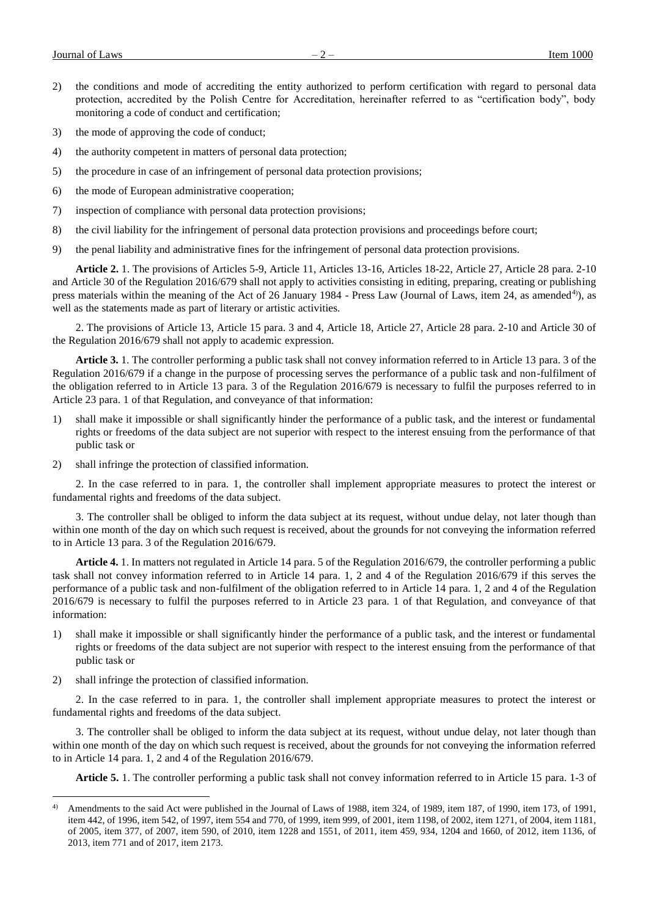- 2) the conditions and mode of accrediting the entity authorized to perform certification with regard to personal data protection, accredited by the Polish Centre for Accreditation, hereinafter referred to as "certification body", body monitoring a code of conduct and certification;
- 3) the mode of approving the code of conduct;
- 4) the authority competent in matters of personal data protection;
- 5) the procedure in case of an infringement of personal data protection provisions;
- 6) the mode of European administrative cooperation;
- 7) inspection of compliance with personal data protection provisions;
- 8) the civil liability for the infringement of personal data protection provisions and proceedings before court;
- 9) the penal liability and administrative fines for the infringement of personal data protection provisions.

**Article 2.** 1. The provisions of Articles 5-9, Article 11, Articles 13-16, Articles 18-22, Article 27, Article 28 para. 2-10 and Article 30 of the Regulation 2016/679 shall not apply to activities consisting in editing, preparing, creating or publishing press materials within the meaning of the Act of 26 January 1984 - Press Law (Journal of Laws, item 24, as amended<sup>4)</sup>), as well as the statements made as part of literary or artistic activities.

2. The provisions of Article 13, Article 15 para. 3 and 4, Article 18, Article 27, Article 28 para. 2-10 and Article 30 of the Regulation 2016/679 shall not apply to academic expression.

**Article 3.** 1. The controller performing a public task shall not convey information referred to in Article 13 para. 3 of the Regulation 2016/679 if a change in the purpose of processing serves the performance of a public task and non-fulfilment of the obligation referred to in Article 13 para. 3 of the Regulation 2016/679 is necessary to fulfil the purposes referred to in Article 23 para. 1 of that Regulation, and conveyance of that information:

- 1) shall make it impossible or shall significantly hinder the performance of a public task, and the interest or fundamental rights or freedoms of the data subject are not superior with respect to the interest ensuing from the performance of that public task or
- 2) shall infringe the protection of classified information.

2. In the case referred to in para. 1, the controller shall implement appropriate measures to protect the interest or fundamental rights and freedoms of the data subject.

3. The controller shall be obliged to inform the data subject at its request, without undue delay, not later though than within one month of the day on which such request is received, about the grounds for not conveying the information referred to in Article 13 para. 3 of the Regulation 2016/679.

**Article 4.** 1. In matters not regulated in Article 14 para. 5 of the Regulation 2016/679, the controller performing a public task shall not convey information referred to in Article 14 para. 1, 2 and 4 of the Regulation 2016/679 if this serves the performance of a public task and non-fulfilment of the obligation referred to in Article 14 para. 1, 2 and 4 of the Regulation 2016/679 is necessary to fulfil the purposes referred to in Article 23 para. 1 of that Regulation, and conveyance of that information:

- 1) shall make it impossible or shall significantly hinder the performance of a public task, and the interest or fundamental rights or freedoms of the data subject are not superior with respect to the interest ensuing from the performance of that public task or
- 2) shall infringe the protection of classified information.

a<br>B

2. In the case referred to in para. 1, the controller shall implement appropriate measures to protect the interest or fundamental rights and freedoms of the data subject.

3. The controller shall be obliged to inform the data subject at its request, without undue delay, not later though than within one month of the day on which such request is received, about the grounds for not conveying the information referred to in Article 14 para. 1, 2 and 4 of the Regulation 2016/679.

**Article 5.** 1. The controller performing a public task shall not convey information referred to in Article 15 para. 1-3 of

<sup>&</sup>lt;sup>4)</sup> Amendments to the said Act were published in the Journal of Laws of 1988, item 324, of 1989, item 187, of 1990, item 173, of 1991, item 442, of 1996, item 542, of 1997, item 554 and 770, of 1999, item 999, of 2001, item 1198, of 2002, item 1271, of 2004, item 1181, of 2005, item 377, of 2007, item 590, of 2010, item 1228 and 1551, of 2011, item 459, 934, 1204 and 1660, of 2012, item 1136, of 2013, item 771 and of 2017, item 2173.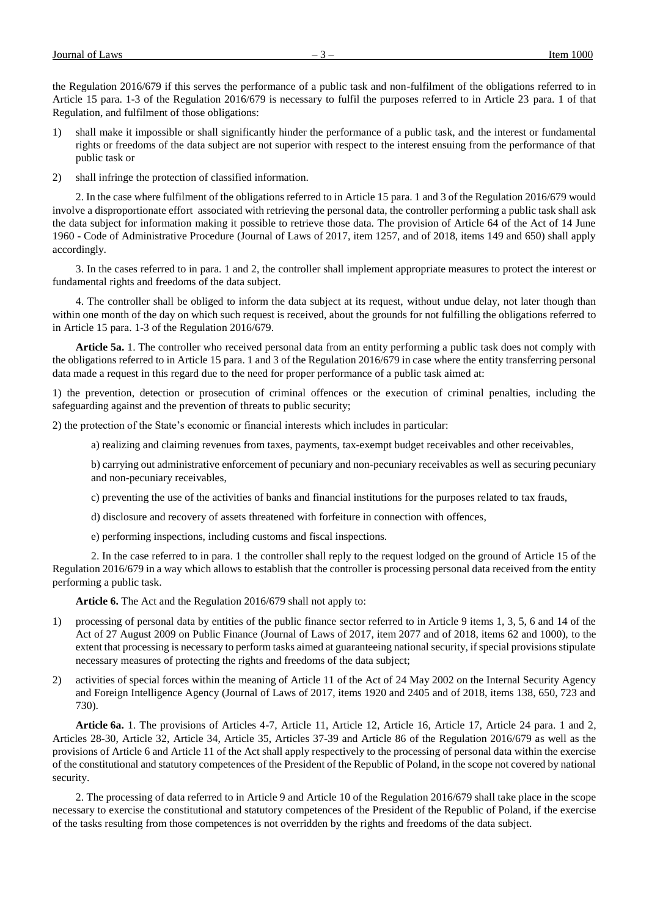the Regulation 2016/679 if this serves the performance of a public task and non-fulfilment of the obligations referred to in Article 15 para. 1-3 of the Regulation 2016/679 is necessary to fulfil the purposes referred to in Article 23 para. 1 of that Regulation, and fulfilment of those obligations:

- 1) shall make it impossible or shall significantly hinder the performance of a public task, and the interest or fundamental rights or freedoms of the data subject are not superior with respect to the interest ensuing from the performance of that public task or
- 2) shall infringe the protection of classified information.

2. In the case where fulfilment of the obligations referred to in Article 15 para. 1 and 3 of the Regulation 2016/679 would involve a disproportionate effort associated with retrieving the personal data, the controller performing a public task shall ask the data subject for information making it possible to retrieve those data. The provision of Article 64 of the Act of 14 June 1960 - Code of Administrative Procedure (Journal of Laws of 2017, item 1257, and of 2018, items 149 and 650) shall apply accordingly.

3. In the cases referred to in para. 1 and 2, the controller shall implement appropriate measures to protect the interest or fundamental rights and freedoms of the data subject.

4. The controller shall be obliged to inform the data subject at its request, without undue delay, not later though than within one month of the day on which such request is received, about the grounds for not fulfilling the obligations referred to in Article 15 para. 1-3 of the Regulation 2016/679.

**Article 5a.** 1. The controller who received personal data from an entity performing a public task does not comply with the obligations referred to in Article 15 para. 1 and 3 of the Regulation 2016/679 in case where the entity transferring personal data made a request in this regard due to the need for proper performance of a public task aimed at:

1) the prevention, detection or prosecution of criminal offences or the execution of criminal penalties, including the safeguarding against and the prevention of threats to public security;

2) the protection of the State's economic or financial interests which includes in particular:

a) realizing and claiming revenues from taxes, payments, tax-exempt budget receivables and other receivables,

b) carrying out administrative enforcement of pecuniary and non-pecuniary receivables as well as securing pecuniary and non-pecuniary receivables,

c) preventing the use of the activities of banks and financial institutions for the purposes related to tax frauds,

d) disclosure and recovery of assets threatened with forfeiture in connection with offences,

e) performing inspections, including customs and fiscal inspections.

2. In the case referred to in para. 1 the controller shall reply to the request lodged on the ground of Article 15 of the Regulation 2016/679 in a way which allows to establish that the controller is processing personal data received from the entity performing a public task.

**Article 6.** The Act and the Regulation 2016/679 shall not apply to:

- 1) processing of personal data by entities of the public finance sector referred to in Article 9 items 1, 3, 5, 6 and 14 of the Act of 27 August 2009 on Public Finance (Journal of Laws of 2017, item 2077 and of 2018, items 62 and 1000), to the extent that processing is necessary to perform tasks aimed at guaranteeing national security, if special provisions stipulate necessary measures of protecting the rights and freedoms of the data subject;
- 2) activities of special forces within the meaning of Article 11 of the Act of 24 May 2002 on the Internal Security Agency and Foreign Intelligence Agency (Journal of Laws of 2017, items 1920 and 2405 and of 2018, items 138, 650, 723 and 730).

**Article 6a.** 1. The provisions of Articles 4-7, Article 11, Article 12, Article 16, Article 17, Article 24 para. 1 and 2, Articles 28-30, Article 32, Article 34, Article 35, Articles 37-39 and Article 86 of the Regulation 2016/679 as well as the provisions of Article 6 and Article 11 of the Act shall apply respectively to the processing of personal data within the exercise of the constitutional and statutory competences of the President of the Republic of Poland, in the scope not covered by national security.

2. The processing of data referred to in Article 9 and Article 10 of the Regulation 2016/679 shall take place in the scope necessary to exercise the constitutional and statutory competences of the President of the Republic of Poland, if the exercise of the tasks resulting from those competences is not overridden by the rights and freedoms of the data subject.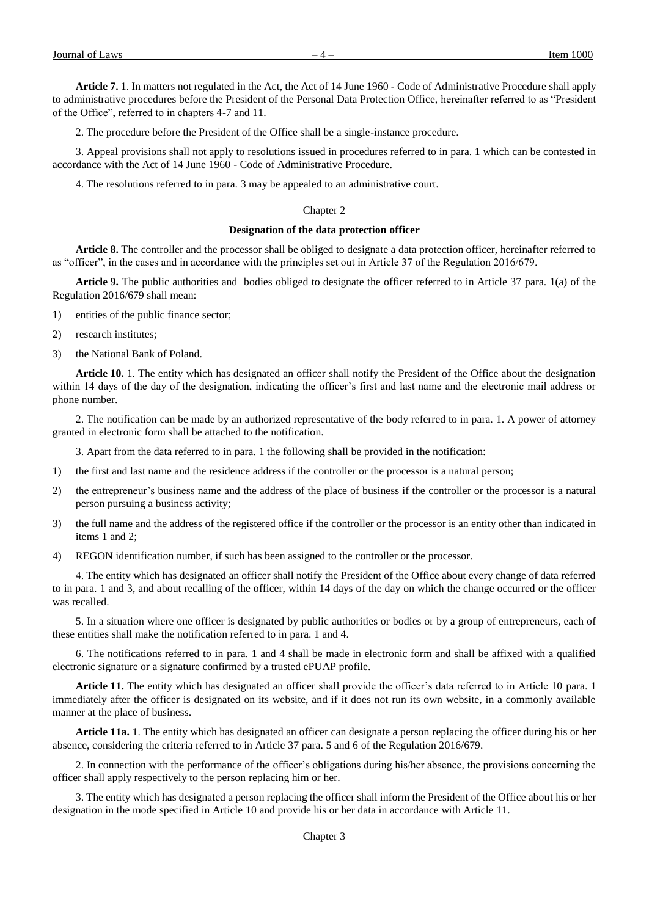**Article 7.** 1. In matters not regulated in the Act, the Act of 14 June 1960 - Code of Administrative Procedure shall apply to administrative procedures before the President of the Personal Data Protection Office, hereinafter referred to as "President of the Office", referred to in chapters 4-7 and 11.

2. The procedure before the President of the Office shall be a single-instance procedure.

3. Appeal provisions shall not apply to resolutions issued in procedures referred to in para. 1 which can be contested in accordance with the Act of 14 June 1960 - Code of Administrative Procedure.

4. The resolutions referred to in para. 3 may be appealed to an administrative court.

# Chapter 2

#### **Designation of the data protection officer**

**Article 8.** The controller and the processor shall be obliged to designate a data protection officer, hereinafter referred to as "officer", in the cases and in accordance with the principles set out in Article 37 of the Regulation 2016/679.

**Article 9.** The public authorities and bodies obliged to designate the officer referred to in Article 37 para. 1(a) of the Regulation 2016/679 shall mean:

- 1) entities of the public finance sector;
- 2) research institutes;
- 3) the National Bank of Poland.

**Article 10.** 1. The entity which has designated an officer shall notify the President of the Office about the designation within 14 days of the day of the designation, indicating the officer's first and last name and the electronic mail address or phone number.

2. The notification can be made by an authorized representative of the body referred to in para. 1. A power of attorney granted in electronic form shall be attached to the notification.

3. Apart from the data referred to in para. 1 the following shall be provided in the notification:

- 1) the first and last name and the residence address if the controller or the processor is a natural person;
- 2) the entrepreneur's business name and the address of the place of business if the controller or the processor is a natural person pursuing a business activity;
- 3) the full name and the address of the registered office if the controller or the processor is an entity other than indicated in items 1 and 2;
- 4) REGON identification number, if such has been assigned to the controller or the processor.

4. The entity which has designated an officer shall notify the President of the Office about every change of data referred to in para. 1 and 3, and about recalling of the officer, within 14 days of the day on which the change occurred or the officer was recalled.

5. In a situation where one officer is designated by public authorities or bodies or by a group of entrepreneurs, each of these entities shall make the notification referred to in para. 1 and 4.

6. The notifications referred to in para. 1 and 4 shall be made in electronic form and shall be affixed with a qualified electronic signature or a signature confirmed by a trusted ePUAP profile.

**Article 11.** The entity which has designated an officer shall provide the officer's data referred to in Article 10 para. 1 immediately after the officer is designated on its website, and if it does not run its own website, in a commonly available manner at the place of business.

**Article 11a.** 1. The entity which has designated an officer can designate a person replacing the officer during his or her absence, considering the criteria referred to in Article 37 para. 5 and 6 of the Regulation 2016/679.

2. In connection with the performance of the officer's obligations during his/her absence, the provisions concerning the officer shall apply respectively to the person replacing him or her.

3. The entity which has designated a person replacing the officer shall inform the President of the Office about his or her designation in the mode specified in Article 10 and provide his or her data in accordance with Article 11.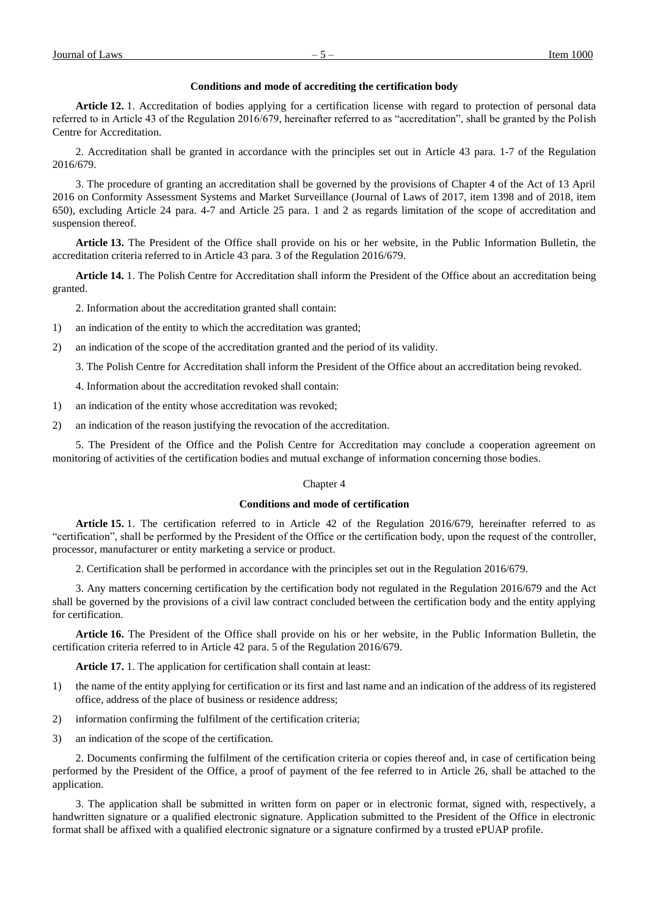## **Conditions and mode of accrediting the certification body**

**Article 12.** 1. Accreditation of bodies applying for a certification license with regard to protection of personal data referred to in Article 43 of the Regulation 2016/679, hereinafter referred to as "accreditation", shall be granted by the Polish Centre for Accreditation.

2. Accreditation shall be granted in accordance with the principles set out in Article 43 para. 1-7 of the Regulation 2016/679.

3. The procedure of granting an accreditation shall be governed by the provisions of Chapter 4 of the Act of 13 April 2016 on Conformity Assessment Systems and Market Surveillance (Journal of Laws of 2017, item 1398 and of 2018, item 650), excluding Article 24 para. 4-7 and Article 25 para. 1 and 2 as regards limitation of the scope of accreditation and suspension thereof.

**Article 13.** The President of the Office shall provide on his or her website, in the Public Information Bulletin, the accreditation criteria referred to in Article 43 para. 3 of the Regulation 2016/679.

**Article 14.** 1. The Polish Centre for Accreditation shall inform the President of the Office about an accreditation being granted.

2. Information about the accreditation granted shall contain:

1) an indication of the entity to which the accreditation was granted;

2) an indication of the scope of the accreditation granted and the period of its validity.

3. The Polish Centre for Accreditation shall inform the President of the Office about an accreditation being revoked.

4. Information about the accreditation revoked shall contain:

1) an indication of the entity whose accreditation was revoked;

2) an indication of the reason justifying the revocation of the accreditation.

5. The President of the Office and the Polish Centre for Accreditation may conclude a cooperation agreement on monitoring of activities of the certification bodies and mutual exchange of information concerning those bodies.

## Chapter 4

## **Conditions and mode of certification**

**Article 15.** 1. The certification referred to in Article 42 of the Regulation 2016/679, hereinafter referred to as "certification", shall be performed by the President of the Office or the certification body, upon the request of the controller, processor, manufacturer or entity marketing a service or product.

2. Certification shall be performed in accordance with the principles set out in the Regulation 2016/679.

3. Any matters concerning certification by the certification body not regulated in the Regulation 2016/679 and the Act shall be governed by the provisions of a civil law contract concluded between the certification body and the entity applying for certification.

**Article 16.** The President of the Office shall provide on his or her website, in the Public Information Bulletin, the certification criteria referred to in Article 42 para. 5 of the Regulation 2016/679.

**Article 17.** 1. The application for certification shall contain at least:

- 1) the name of the entity applying for certification or its first and last name and an indication of the address of its registered office, address of the place of business or residence address;
- 2) information confirming the fulfilment of the certification criteria;
- 3) an indication of the scope of the certification.

2. Documents confirming the fulfilment of the certification criteria or copies thereof and, in case of certification being performed by the President of the Office, a proof of payment of the fee referred to in Article 26, shall be attached to the application.

3. The application shall be submitted in written form on paper or in electronic format, signed with, respectively, a handwritten signature or a qualified electronic signature. Application submitted to the President of the Office in electronic format shall be affixed with a qualified electronic signature or a signature confirmed by a trusted ePUAP profile.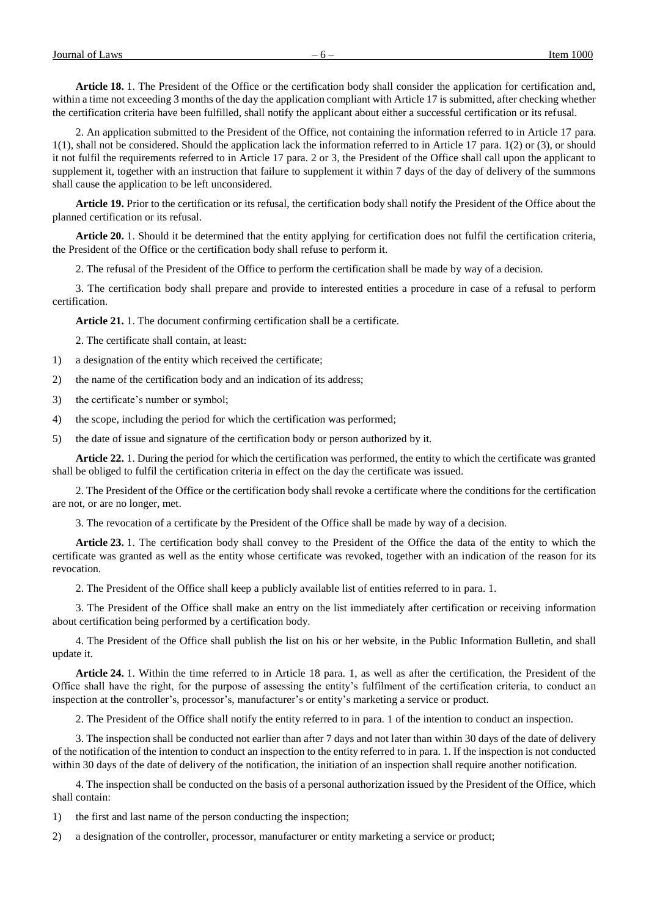**Article 18.** 1. The President of the Office or the certification body shall consider the application for certification and, within a time not exceeding 3 months of the day the application compliant with Article 17 is submitted, after checking whether the certification criteria have been fulfilled, shall notify the applicant about either a successful certification or its refusal.

2. An application submitted to the President of the Office, not containing the information referred to in Article 17 para. 1(1), shall not be considered. Should the application lack the information referred to in Article 17 para. 1(2) or (3), or should it not fulfil the requirements referred to in Article 17 para. 2 or 3, the President of the Office shall call upon the applicant to supplement it, together with an instruction that failure to supplement it within 7 days of the day of delivery of the summons shall cause the application to be left unconsidered.

**Article 19.** Prior to the certification or its refusal, the certification body shall notify the President of the Office about the planned certification or its refusal.

**Article 20.** 1. Should it be determined that the entity applying for certification does not fulfil the certification criteria, the President of the Office or the certification body shall refuse to perform it.

2. The refusal of the President of the Office to perform the certification shall be made by way of a decision.

3. The certification body shall prepare and provide to interested entities a procedure in case of a refusal to perform certification.

**Article 21.** 1. The document confirming certification shall be a certificate.

2. The certificate shall contain, at least:

1) a designation of the entity which received the certificate;

2) the name of the certification body and an indication of its address;

3) the certificate's number or symbol;

4) the scope, including the period for which the certification was performed;

5) the date of issue and signature of the certification body or person authorized by it.

**Article 22.** 1. During the period for which the certification was performed, the entity to which the certificate was granted shall be obliged to fulfil the certification criteria in effect on the day the certificate was issued.

2. The President of the Office or the certification body shall revoke a certificate where the conditions for the certification are not, or are no longer, met.

3. The revocation of a certificate by the President of the Office shall be made by way of a decision.

**Article 23.** 1. The certification body shall convey to the President of the Office the data of the entity to which the certificate was granted as well as the entity whose certificate was revoked, together with an indication of the reason for its revocation.

2. The President of the Office shall keep a publicly available list of entities referred to in para. 1.

3. The President of the Office shall make an entry on the list immediately after certification or receiving information about certification being performed by a certification body.

4. The President of the Office shall publish the list on his or her website, in the Public Information Bulletin, and shall update it.

**Article 24.** 1. Within the time referred to in Article 18 para. 1, as well as after the certification, the President of the Office shall have the right, for the purpose of assessing the entity's fulfilment of the certification criteria, to conduct an inspection at the controller's, processor's, manufacturer's or entity's marketing a service or product.

2. The President of the Office shall notify the entity referred to in para. 1 of the intention to conduct an inspection.

3. The inspection shall be conducted not earlier than after 7 days and not later than within 30 days of the date of delivery of the notification of the intention to conduct an inspection to the entity referred to in para. 1. If the inspection is not conducted within 30 days of the date of delivery of the notification, the initiation of an inspection shall require another notification.

4. The inspection shall be conducted on the basis of a personal authorization issued by the President of the Office, which shall contain:

1) the first and last name of the person conducting the inspection;

2) a designation of the controller, processor, manufacturer or entity marketing a service or product;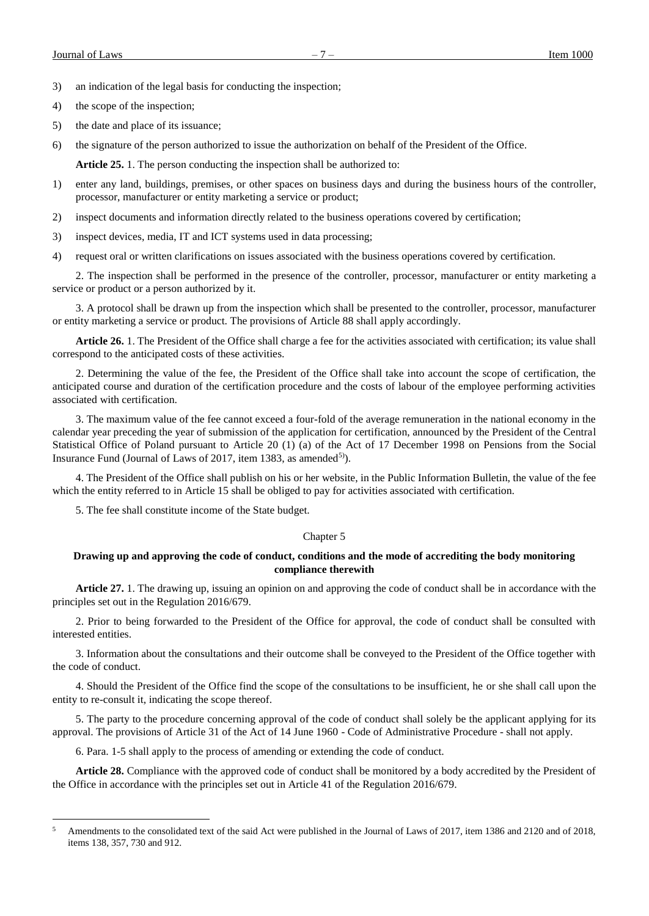a<br>B

3) an indication of the legal basis for conducting the inspection;

- 4) the scope of the inspection;
- 5) the date and place of its issuance;
- 6) the signature of the person authorized to issue the authorization on behalf of the President of the Office.

**Article 25.** 1. The person conducting the inspection shall be authorized to:

- 1) enter any land, buildings, premises, or other spaces on business days and during the business hours of the controller, processor, manufacturer or entity marketing a service or product;
- 2) inspect documents and information directly related to the business operations covered by certification;
- 3) inspect devices, media, IT and ICT systems used in data processing;
- 4) request oral or written clarifications on issues associated with the business operations covered by certification.

2. The inspection shall be performed in the presence of the controller, processor, manufacturer or entity marketing a service or product or a person authorized by it.

3. A protocol shall be drawn up from the inspection which shall be presented to the controller, processor, manufacturer or entity marketing a service or product. The provisions of Article 88 shall apply accordingly.

**Article 26.** 1. The President of the Office shall charge a fee for the activities associated with certification; its value shall correspond to the anticipated costs of these activities.

2. Determining the value of the fee, the President of the Office shall take into account the scope of certification, the anticipated course and duration of the certification procedure and the costs of labour of the employee performing activities associated with certification.

3. The maximum value of the fee cannot exceed a four-fold of the average remuneration in the national economy in the calendar year preceding the year of submission of the application for certification, announced by the President of the Central Statistical Office of Poland pursuant to Article 20 (1) (a) of the Act of 17 December 1998 on Pensions from the Social Insurance Fund (Journal of Laws of 2017, item 1383, as amended<sup>5)</sup>).

4. The President of the Office shall publish on his or her website, in the Public Information Bulletin, the value of the fee which the entity referred to in Article 15 shall be obliged to pay for activities associated with certification.

5. The fee shall constitute income of the State budget.

# Chapter 5

# **Drawing up and approving the code of conduct, conditions and the mode of accrediting the body monitoring compliance therewith**

**Article 27.** 1. The drawing up, issuing an opinion on and approving the code of conduct shall be in accordance with the principles set out in the Regulation 2016/679.

2. Prior to being forwarded to the President of the Office for approval, the code of conduct shall be consulted with interested entities.

3. Information about the consultations and their outcome shall be conveyed to the President of the Office together with the code of conduct.

4. Should the President of the Office find the scope of the consultations to be insufficient, he or she shall call upon the entity to re-consult it, indicating the scope thereof.

5. The party to the procedure concerning approval of the code of conduct shall solely be the applicant applying for its approval. The provisions of Article 31 of the Act of 14 June 1960 - Code of Administrative Procedure - shall not apply.

6. Para. 1-5 shall apply to the process of amending or extending the code of conduct.

**Article 28.** Compliance with the approved code of conduct shall be monitored by a body accredited by the President of the Office in accordance with the principles set out in Article 41 of the Regulation 2016/679.

<sup>5</sup> Amendments to the consolidated text of the said Act were published in the Journal of Laws of 2017, item 1386 and 2120 and of 2018, items 138, 357, 730 and 912.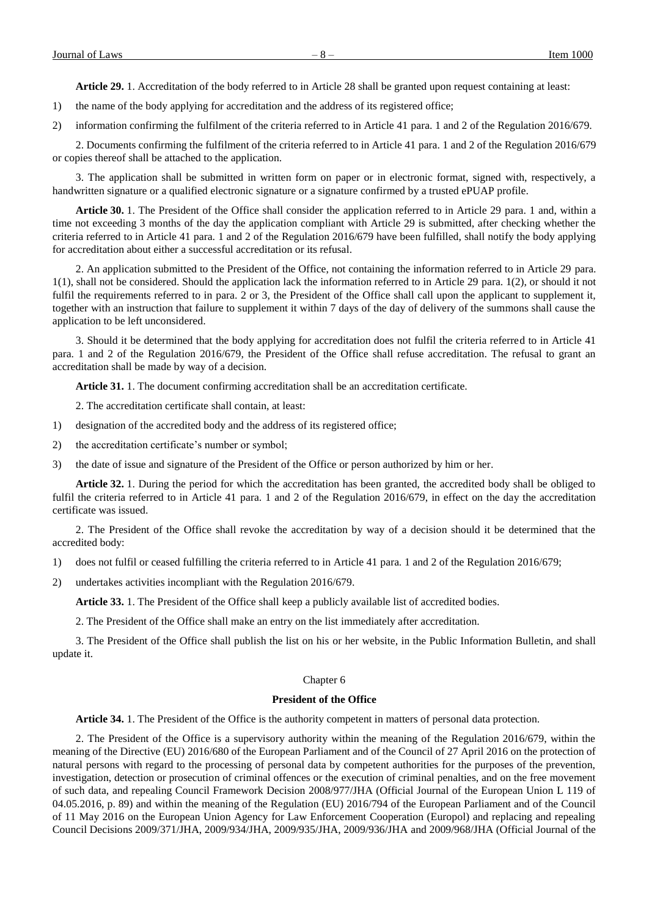**Article 29.** 1. Accreditation of the body referred to in Article 28 shall be granted upon request containing at least:

1) the name of the body applying for accreditation and the address of its registered office;

2) information confirming the fulfilment of the criteria referred to in Article 41 para. 1 and 2 of the Regulation 2016/679.

2. Documents confirming the fulfilment of the criteria referred to in Article 41 para. 1 and 2 of the Regulation 2016/679 or copies thereof shall be attached to the application.

3. The application shall be submitted in written form on paper or in electronic format, signed with, respectively, a handwritten signature or a qualified electronic signature or a signature confirmed by a trusted ePUAP profile.

**Article 30.** 1. The President of the Office shall consider the application referred to in Article 29 para. 1 and, within a time not exceeding 3 months of the day the application compliant with Article 29 is submitted, after checking whether the criteria referred to in Article 41 para. 1 and 2 of the Regulation 2016/679 have been fulfilled, shall notify the body applying for accreditation about either a successful accreditation or its refusal.

2. An application submitted to the President of the Office, not containing the information referred to in Article 29 para. 1(1), shall not be considered. Should the application lack the information referred to in Article 29 para. 1(2), or should it not fulfil the requirements referred to in para. 2 or 3, the President of the Office shall call upon the applicant to supplement it, together with an instruction that failure to supplement it within 7 days of the day of delivery of the summons shall cause the application to be left unconsidered.

3. Should it be determined that the body applying for accreditation does not fulfil the criteria referred to in Article 41 para. 1 and 2 of the Regulation 2016/679, the President of the Office shall refuse accreditation. The refusal to grant an accreditation shall be made by way of a decision.

**Article 31.** 1. The document confirming accreditation shall be an accreditation certificate.

2. The accreditation certificate shall contain, at least:

- 1) designation of the accredited body and the address of its registered office;
- 2) the accreditation certificate's number or symbol;
- 3) the date of issue and signature of the President of the Office or person authorized by him or her.

**Article 32.** 1. During the period for which the accreditation has been granted, the accredited body shall be obliged to fulfil the criteria referred to in Article 41 para. 1 and 2 of the Regulation 2016/679, in effect on the day the accreditation certificate was issued.

2. The President of the Office shall revoke the accreditation by way of a decision should it be determined that the accredited body:

1) does not fulfil or ceased fulfilling the criteria referred to in Article 41 para. 1 and 2 of the Regulation 2016/679;

2) undertakes activities incompliant with the Regulation 2016/679.

**Article 33.** 1. The President of the Office shall keep a publicly available list of accredited bodies.

2. The President of the Office shall make an entry on the list immediately after accreditation.

3. The President of the Office shall publish the list on his or her website, in the Public Information Bulletin, and shall update it.

#### Chapter 6

#### **President of the Office**

**Article 34.** 1. The President of the Office is the authority competent in matters of personal data protection.

2. The President of the Office is a supervisory authority within the meaning of the Regulation 2016/679, within the meaning of the Directive (EU) 2016/680 of the European Parliament and of the Council of 27 April 2016 on the protection of natural persons with regard to the processing of personal data by competent authorities for the purposes of the prevention, investigation, detection or prosecution of criminal offences or the execution of criminal penalties, and on the free movement of such data, and repealing Council Framework Decision 2008/977/JHA (Official Journal of the European Union L 119 of 04.05.2016, p. 89) and within the meaning of the Regulation (EU) 2016/794 of the European Parliament and of the Council of 11 May 2016 on the European Union Agency for Law Enforcement Cooperation (Europol) and replacing and repealing Council Decisions 2009/371/JHA, 2009/934/JHA, 2009/935/JHA, 2009/936/JHA and 2009/968/JHA (Official Journal of the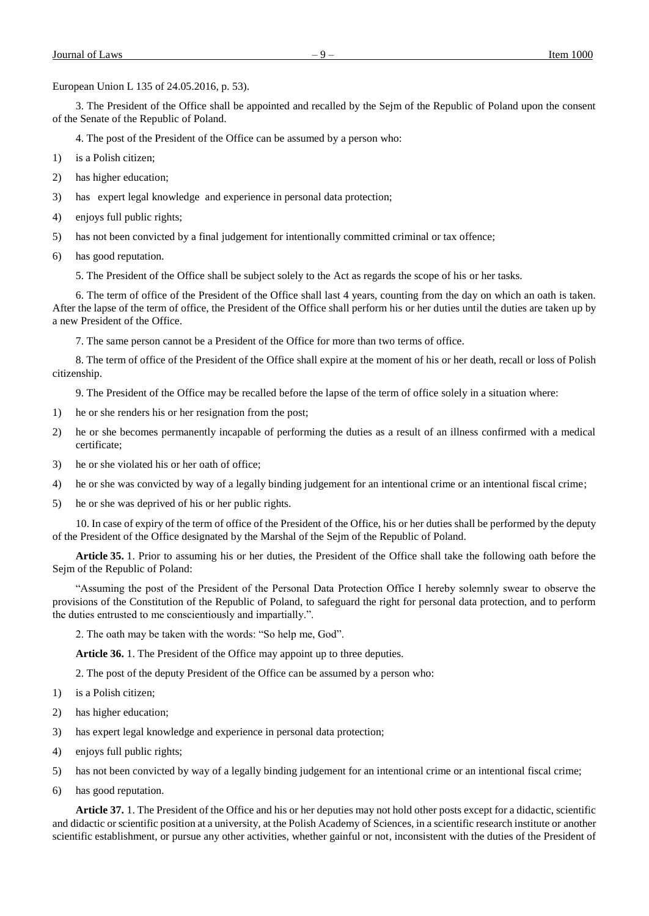European Union L 135 of 24.05.2016, p. 53).

3. The President of the Office shall be appointed and recalled by the Sejm of the Republic of Poland upon the consent of the Senate of the Republic of Poland.

4. The post of the President of the Office can be assumed by a person who:

- 1) is a Polish citizen;
- 2) has higher education;
- 3) has expert legal knowledge and experience in personal data protection;
- 4) enjoys full public rights;
- 5) has not been convicted by a final judgement for intentionally committed criminal or tax offence;
- 6) has good reputation.

5. The President of the Office shall be subject solely to the Act as regards the scope of his or her tasks.

6. The term of office of the President of the Office shall last 4 years, counting from the day on which an oath is taken. After the lapse of the term of office, the President of the Office shall perform his or her duties until the duties are taken up by a new President of the Office.

7. The same person cannot be a President of the Office for more than two terms of office.

8. The term of office of the President of the Office shall expire at the moment of his or her death, recall or loss of Polish citizenship.

9. The President of the Office may be recalled before the lapse of the term of office solely in a situation where:

- 1) he or she renders his or her resignation from the post;
- 2) he or she becomes permanently incapable of performing the duties as a result of an illness confirmed with a medical certificate;
- 3) he or she violated his or her oath of office;
- 4) he or she was convicted by way of a legally binding judgement for an intentional crime or an intentional fiscal crime;
- 5) he or she was deprived of his or her public rights.

10. In case of expiry of the term of office of the President of the Office, his or her duties shall be performed by the deputy of the President of the Office designated by the Marshal of the Sejm of the Republic of Poland.

**Article 35.** 1. Prior to assuming his or her duties, the President of the Office shall take the following oath before the Sejm of the Republic of Poland:

"Assuming the post of the President of the Personal Data Protection Office I hereby solemnly swear to observe the provisions of the Constitution of the Republic of Poland, to safeguard the right for personal data protection, and to perform the duties entrusted to me conscientiously and impartially.".

2. The oath may be taken with the words: "So help me, God".

**Article 36.** 1. The President of the Office may appoint up to three deputies.

2. The post of the deputy President of the Office can be assumed by a person who:

- 1) is a Polish citizen;
- 2) has higher education;
- 3) has expert legal knowledge and experience in personal data protection;
- 4) enjoys full public rights;
- 5) has not been convicted by way of a legally binding judgement for an intentional crime or an intentional fiscal crime;
- 6) has good reputation.

**Article 37.** 1. The President of the Office and his or her deputies may not hold other posts except for a didactic, scientific and didactic or scientific position at a university, at the Polish Academy of Sciences, in a scientific research institute or another scientific establishment, or pursue any other activities, whether gainful or not, inconsistent with the duties of the President of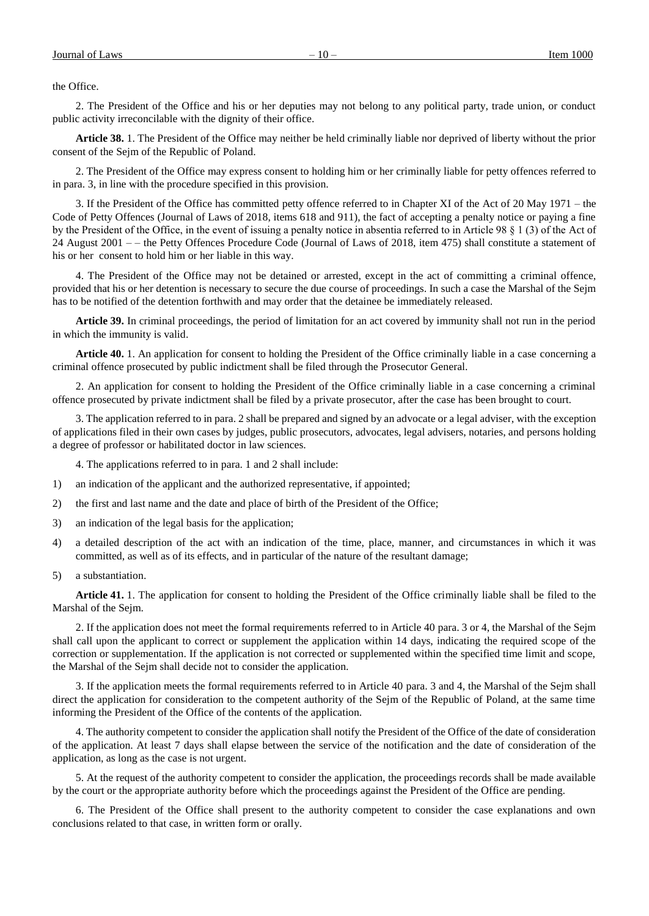the Office.

2. The President of the Office and his or her deputies may not belong to any political party, trade union, or conduct public activity irreconcilable with the dignity of their office.

**Article 38.** 1. The President of the Office may neither be held criminally liable nor deprived of liberty without the prior consent of the Sejm of the Republic of Poland.

2. The President of the Office may express consent to holding him or her criminally liable for petty offences referred to in para. 3, in line with the procedure specified in this provision.

3. If the President of the Office has committed petty offence referred to in Chapter XI of the Act of 20 May 1971 – the Code of Petty Offences (Journal of Laws of 2018, items 618 and 911), the fact of accepting a penalty notice or paying a fine by the President of the Office, in the event of issuing a penalty notice in absentia referred to in Article 98 § 1 (3) of the Act of 24 August 2001 – – the Petty Offences Procedure Code (Journal of Laws of 2018, item 475) shall constitute a statement of his or her consent to hold him or her liable in this way.

4. The President of the Office may not be detained or arrested, except in the act of committing a criminal offence, provided that his or her detention is necessary to secure the due course of proceedings. In such a case the Marshal of the Sejm has to be notified of the detention forthwith and may order that the detainee be immediately released.

**Article 39.** In criminal proceedings, the period of limitation for an act covered by immunity shall not run in the period in which the immunity is valid.

**Article 40.** 1. An application for consent to holding the President of the Office criminally liable in a case concerning a criminal offence prosecuted by public indictment shall be filed through the Prosecutor General.

2. An application for consent to holding the President of the Office criminally liable in a case concerning a criminal offence prosecuted by private indictment shall be filed by a private prosecutor, after the case has been brought to court.

3. The application referred to in para. 2 shall be prepared and signed by an advocate or a legal adviser, with the exception of applications filed in their own cases by judges, public prosecutors, advocates, legal advisers, notaries, and persons holding a degree of professor or habilitated doctor in law sciences.

4. The applications referred to in para. 1 and 2 shall include:

- 1) an indication of the applicant and the authorized representative, if appointed;
- 2) the first and last name and the date and place of birth of the President of the Office;
- 3) an indication of the legal basis for the application;
- 4) a detailed description of the act with an indication of the time, place, manner, and circumstances in which it was committed, as well as of its effects, and in particular of the nature of the resultant damage;
- 5) a substantiation.

**Article 41.** 1. The application for consent to holding the President of the Office criminally liable shall be filed to the Marshal of the Sejm.

2. If the application does not meet the formal requirements referred to in Article 40 para. 3 or 4, the Marshal of the Sejm shall call upon the applicant to correct or supplement the application within 14 days, indicating the required scope of the correction or supplementation. If the application is not corrected or supplemented within the specified time limit and scope, the Marshal of the Sejm shall decide not to consider the application.

3. If the application meets the formal requirements referred to in Article 40 para. 3 and 4, the Marshal of the Sejm shall direct the application for consideration to the competent authority of the Sejm of the Republic of Poland, at the same time informing the President of the Office of the contents of the application.

4. The authority competent to consider the application shall notify the President of the Office of the date of consideration of the application. At least 7 days shall elapse between the service of the notification and the date of consideration of the application, as long as the case is not urgent.

5. At the request of the authority competent to consider the application, the proceedings records shall be made available by the court or the appropriate authority before which the proceedings against the President of the Office are pending.

6. The President of the Office shall present to the authority competent to consider the case explanations and own conclusions related to that case, in written form or orally.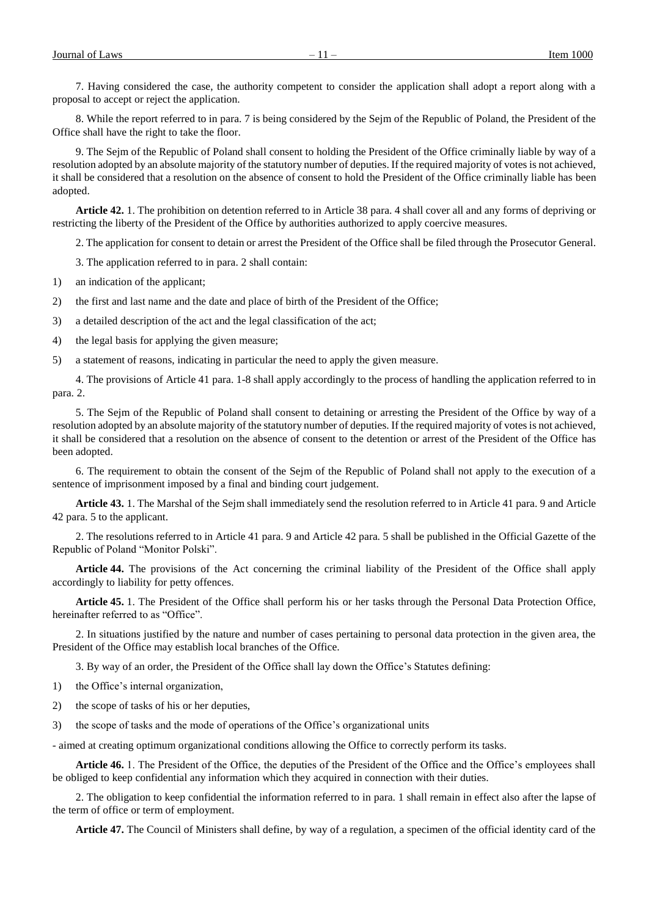7. Having considered the case, the authority competent to consider the application shall adopt a report along with a proposal to accept or reject the application.

8. While the report referred to in para. 7 is being considered by the Sejm of the Republic of Poland, the President of the Office shall have the right to take the floor.

9. The Sejm of the Republic of Poland shall consent to holding the President of the Office criminally liable by way of a resolution adopted by an absolute majority of the statutory number of deputies. If the required majority of votes is not achieved, it shall be considered that a resolution on the absence of consent to hold the President of the Office criminally liable has been adopted.

**Article 42.** 1. The prohibition on detention referred to in Article 38 para. 4 shall cover all and any forms of depriving or restricting the liberty of the President of the Office by authorities authorized to apply coercive measures.

2. The application for consent to detain or arrest the President of the Office shall be filed through the Prosecutor General.

3. The application referred to in para. 2 shall contain:

1) an indication of the applicant;

2) the first and last name and the date and place of birth of the President of the Office;

3) a detailed description of the act and the legal classification of the act;

4) the legal basis for applying the given measure;

5) a statement of reasons, indicating in particular the need to apply the given measure.

4. The provisions of Article 41 para. 1-8 shall apply accordingly to the process of handling the application referred to in para. 2.

5. The Sejm of the Republic of Poland shall consent to detaining or arresting the President of the Office by way of a resolution adopted by an absolute majority of the statutory number of deputies. If the required majority of votes is not achieved, it shall be considered that a resolution on the absence of consent to the detention or arrest of the President of the Office has been adopted.

6. The requirement to obtain the consent of the Sejm of the Republic of Poland shall not apply to the execution of a sentence of imprisonment imposed by a final and binding court judgement.

**Article 43.** 1. The Marshal of the Sejm shall immediately send the resolution referred to in Article 41 para. 9 and Article 42 para. 5 to the applicant.

2. The resolutions referred to in Article 41 para. 9 and Article 42 para. 5 shall be published in the Official Gazette of the Republic of Poland "Monitor Polski".

**Article 44.** The provisions of the Act concerning the criminal liability of the President of the Office shall apply accordingly to liability for petty offences.

**Article 45.** 1. The President of the Office shall perform his or her tasks through the Personal Data Protection Office, hereinafter referred to as "Office".

2. In situations justified by the nature and number of cases pertaining to personal data protection in the given area, the President of the Office may establish local branches of the Office.

3. By way of an order, the President of the Office shall lay down the Office's Statutes defining:

1) the Office's internal organization,

2) the scope of tasks of his or her deputies,

3) the scope of tasks and the mode of operations of the Office's organizational units

- aimed at creating optimum organizational conditions allowing the Office to correctly perform its tasks.

**Article 46.** 1. The President of the Office, the deputies of the President of the Office and the Office's employees shall be obliged to keep confidential any information which they acquired in connection with their duties.

2. The obligation to keep confidential the information referred to in para. 1 shall remain in effect also after the lapse of the term of office or term of employment.

**Article 47.** The Council of Ministers shall define, by way of a regulation, a specimen of the official identity card of the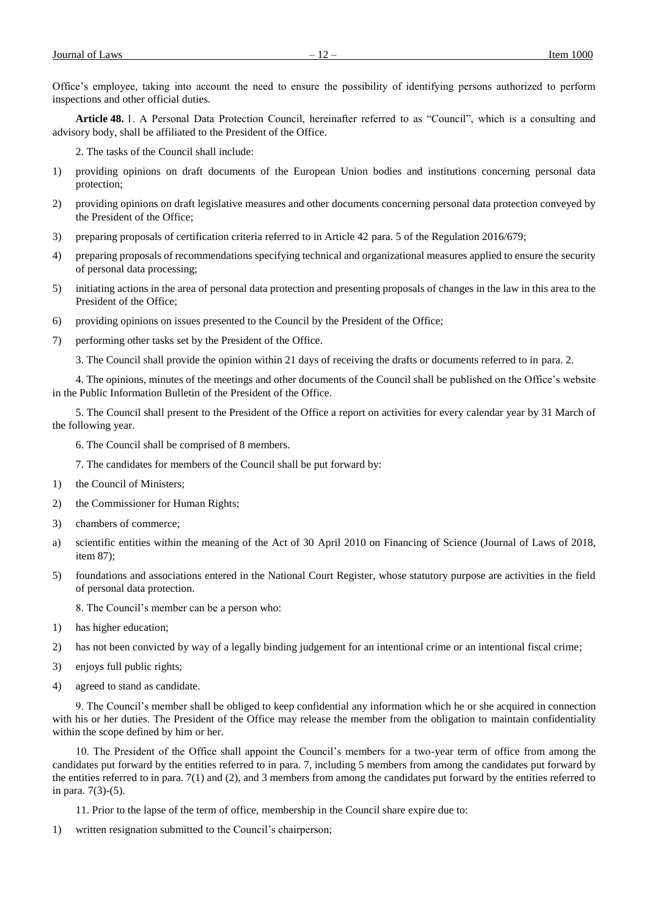Office's employee, taking into account the need to ensure the possibility of identifying persons authorized to perform inspections and other official duties.

**Article 48.** 1. A Personal Data Protection Council, hereinafter referred to as "Council", which is a consulting and advisory body, shall be affiliated to the President of the Office.

2. The tasks of the Council shall include:

- 1) providing opinions on draft documents of the European Union bodies and institutions concerning personal data protection;
- 2) providing opinions on draft legislative measures and other documents concerning personal data protection conveyed by the President of the Office;
- 3) preparing proposals of certification criteria referred to in Article 42 para. 5 of the Regulation 2016/679;
- 4) preparing proposals of recommendations specifying technical and organizational measures applied to ensure the security of personal data processing;
- 5) initiating actions in the area of personal data protection and presenting proposals of changes in the law in this area to the President of the Office;
- 6) providing opinions on issues presented to the Council by the President of the Office;
- 7) performing other tasks set by the President of the Office.

3. The Council shall provide the opinion within 21 days of receiving the drafts or documents referred to in para. 2.

4. The opinions, minutes of the meetings and other documents of the Council shall be published on the Office's website in the Public Information Bulletin of the President of the Office.

5. The Council shall present to the President of the Office a report on activities for every calendar year by 31 March of the following year.

6. The Council shall be comprised of 8 members.

7. The candidates for members of the Council shall be put forward by:

- 1) the Council of Ministers;
- 2) the Commissioner for Human Rights;
- 3) chambers of commerce;
- a) scientific entities within the meaning of the Act of 30 April 2010 on Financing of Science (Journal of Laws of 2018, item 87);
- 5) foundations and associations entered in the National Court Register, whose statutory purpose are activities in the field of personal data protection.

8. The Council's member can be a person who:

- 1) has higher education;
- 2) has not been convicted by way of a legally binding judgement for an intentional crime or an intentional fiscal crime;
- 3) enjoys full public rights;
- 4) agreed to stand as candidate.

9. The Council's member shall be obliged to keep confidential any information which he or she acquired in connection with his or her duties. The President of the Office may release the member from the obligation to maintain confidentiality within the scope defined by him or her.

10. The President of the Office shall appoint the Council's members for a two-year term of office from among the candidates put forward by the entities referred to in para. 7, including 5 members from among the candidates put forward by the entities referred to in para. 7(1) and (2), and 3 members from among the candidates put forward by the entities referred to in para. 7(3)-(5).

11. Prior to the lapse of the term of office, membership in the Council share expire due to:

1) written resignation submitted to the Council's chairperson;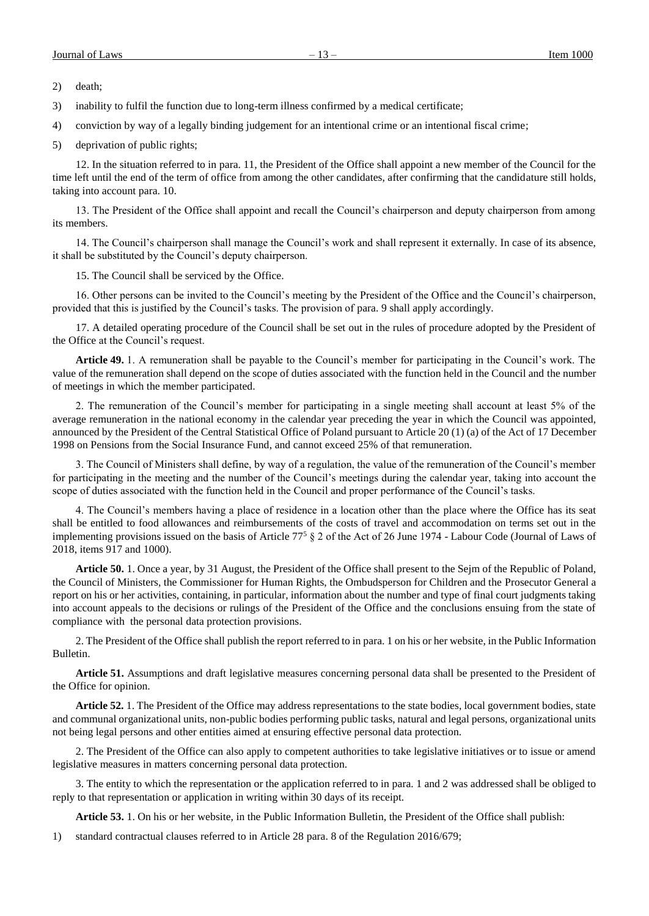3) inability to fulfil the function due to long-term illness confirmed by a medical certificate;

4) conviction by way of a legally binding judgement for an intentional crime or an intentional fiscal crime;

5) deprivation of public rights;

12. In the situation referred to in para. 11, the President of the Office shall appoint a new member of the Council for the time left until the end of the term of office from among the other candidates, after confirming that the candidature still holds, taking into account para. 10.

13. The President of the Office shall appoint and recall the Council's chairperson and deputy chairperson from among its members.

14. The Council's chairperson shall manage the Council's work and shall represent it externally. In case of its absence, it shall be substituted by the Council's deputy chairperson.

15. The Council shall be serviced by the Office.

16. Other persons can be invited to the Council's meeting by the President of the Office and the Council's chairperson, provided that this is justified by the Council's tasks. The provision of para. 9 shall apply accordingly.

17. A detailed operating procedure of the Council shall be set out in the rules of procedure adopted by the President of the Office at the Council's request.

**Article 49.** 1. A remuneration shall be payable to the Council's member for participating in the Council's work. The value of the remuneration shall depend on the scope of duties associated with the function held in the Council and the number of meetings in which the member participated.

2. The remuneration of the Council's member for participating in a single meeting shall account at least 5% of the average remuneration in the national economy in the calendar year preceding the year in which the Council was appointed, announced by the President of the Central Statistical Office of Poland pursuant to Article 20 (1) (a) of the Act of 17 December 1998 on Pensions from the Social Insurance Fund, and cannot exceed 25% of that remuneration.

3. The Council of Ministers shall define, by way of a regulation, the value of the remuneration of the Council's member for participating in the meeting and the number of the Council's meetings during the calendar year, taking into account the scope of duties associated with the function held in the Council and proper performance of the Council's tasks.

4. The Council's members having a place of residence in a location other than the place where the Office has its seat shall be entitled to food allowances and reimbursements of the costs of travel and accommodation on terms set out in the implementing provisions issued on the basis of Article  $77<sup>5</sup>$  § 2 of the Act of 26 June 1974 - Labour Code (Journal of Laws of 2018, items 917 and 1000).

**Article 50.** 1. Once a year, by 31 August, the President of the Office shall present to the Sejm of the Republic of Poland, the Council of Ministers, the Commissioner for Human Rights, the Ombudsperson for Children and the Prosecutor General a report on his or her activities, containing, in particular, information about the number and type of final court judgments taking into account appeals to the decisions or rulings of the President of the Office and the conclusions ensuing from the state of compliance with the personal data protection provisions.

2. The President of the Office shall publish the report referred to in para. 1 on his or her website, in the Public Information Bulletin.

**Article 51.** Assumptions and draft legislative measures concerning personal data shall be presented to the President of the Office for opinion.

**Article 52.** 1. The President of the Office may address representations to the state bodies, local government bodies, state and communal organizational units, non-public bodies performing public tasks, natural and legal persons, organizational units not being legal persons and other entities aimed at ensuring effective personal data protection.

2. The President of the Office can also apply to competent authorities to take legislative initiatives or to issue or amend legislative measures in matters concerning personal data protection.

3. The entity to which the representation or the application referred to in para. 1 and 2 was addressed shall be obliged to reply to that representation or application in writing within 30 days of its receipt.

**Article 53.** 1. On his or her website, in the Public Information Bulletin, the President of the Office shall publish:

1) standard contractual clauses referred to in Article 28 para. 8 of the Regulation 2016/679;

<sup>2)</sup> death;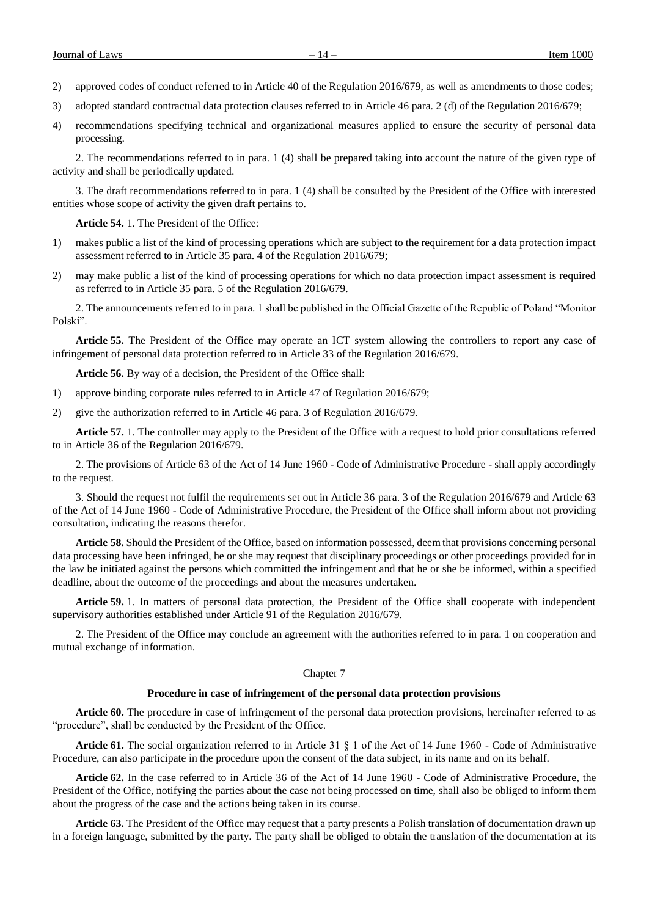- 2) approved codes of conduct referred to in Article 40 of the Regulation 2016/679, as well as amendments to those codes;
- 3) adopted standard contractual data protection clauses referred to in Article 46 para. 2 (d) of the Regulation 2016/679;
- 4) recommendations specifying technical and organizational measures applied to ensure the security of personal data processing.

2. The recommendations referred to in para. 1 (4) shall be prepared taking into account the nature of the given type of activity and shall be periodically updated.

3. The draft recommendations referred to in para. 1 (4) shall be consulted by the President of the Office with interested entities whose scope of activity the given draft pertains to.

**Article 54.** 1. The President of the Office:

- 1) makes public a list of the kind of processing operations which are subject to the requirement for a data protection impact assessment referred to in Article 35 para. 4 of the Regulation 2016/679;
- 2) may make public a list of the kind of processing operations for which no data protection impact assessment is required as referred to in Article 35 para. 5 of the Regulation 2016/679.

2. The announcements referred to in para. 1 shall be published in the Official Gazette of the Republic of Poland "Monitor Polski".

**Article 55.** The President of the Office may operate an ICT system allowing the controllers to report any case of infringement of personal data protection referred to in Article 33 of the Regulation 2016/679.

**Article 56.** By way of a decision, the President of the Office shall:

- 1) approve binding corporate rules referred to in Article 47 of Regulation 2016/679;
- 2) give the authorization referred to in Article 46 para. 3 of Regulation 2016/679.

**Article 57.** 1. The controller may apply to the President of the Office with a request to hold prior consultations referred to in Article 36 of the Regulation 2016/679.

2. The provisions of Article 63 of the Act of 14 June 1960 - Code of Administrative Procedure - shall apply accordingly to the request.

3. Should the request not fulfil the requirements set out in Article 36 para. 3 of the Regulation 2016/679 and Article 63 of the Act of 14 June 1960 - Code of Administrative Procedure, the President of the Office shall inform about not providing consultation, indicating the reasons therefor.

**Article 58.** Should the President of the Office, based on information possessed, deem that provisions concerning personal data processing have been infringed, he or she may request that disciplinary proceedings or other proceedings provided for in the law be initiated against the persons which committed the infringement and that he or she be informed, within a specified deadline, about the outcome of the proceedings and about the measures undertaken.

**Article 59.** 1. In matters of personal data protection, the President of the Office shall cooperate with independent supervisory authorities established under Article 91 of the Regulation 2016/679.

2. The President of the Office may conclude an agreement with the authorities referred to in para. 1 on cooperation and mutual exchange of information.

# Chapter 7

#### **Procedure in case of infringement of the personal data protection provisions**

**Article 60.** The procedure in case of infringement of the personal data protection provisions, hereinafter referred to as "procedure", shall be conducted by the President of the Office.

**Article 61.** The social organization referred to in Article 31 § 1 of the Act of 14 June 1960 - Code of Administrative Procedure, can also participate in the procedure upon the consent of the data subject, in its name and on its behalf.

**Article 62.** In the case referred to in Article 36 of the Act of 14 June 1960 - Code of Administrative Procedure, the President of the Office, notifying the parties about the case not being processed on time, shall also be obliged to inform them about the progress of the case and the actions being taken in its course.

**Article 63.** The President of the Office may request that a party presents a Polish translation of documentation drawn up in a foreign language, submitted by the party. The party shall be obliged to obtain the translation of the documentation at its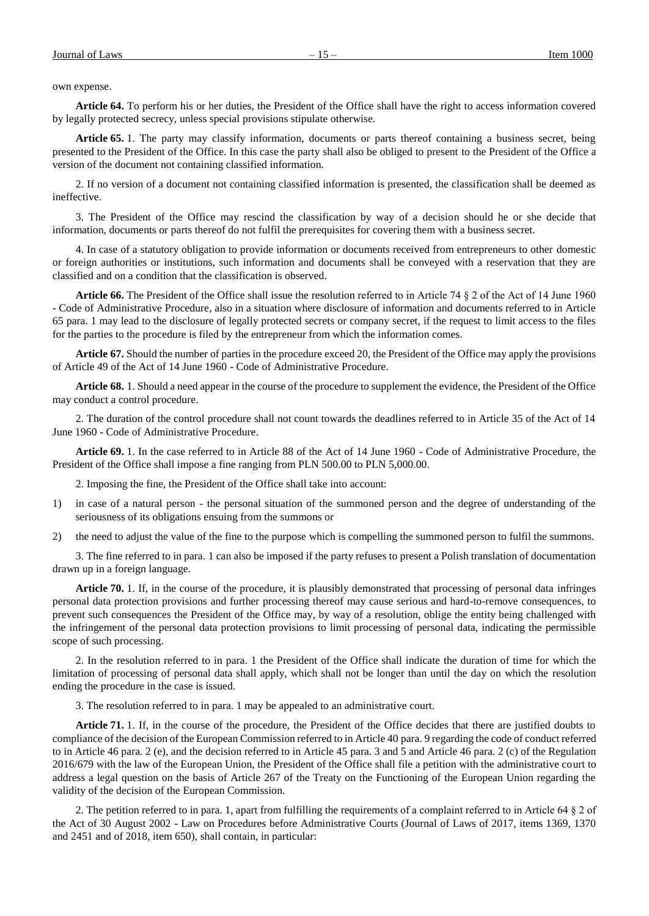own expense.

**Article 64.** To perform his or her duties, the President of the Office shall have the right to access information covered by legally protected secrecy, unless special provisions stipulate otherwise.

**Article 65.** 1. The party may classify information, documents or parts thereof containing a business secret, being presented to the President of the Office. In this case the party shall also be obliged to present to the President of the Office a version of the document not containing classified information.

2. If no version of a document not containing classified information is presented, the classification shall be deemed as ineffective.

3. The President of the Office may rescind the classification by way of a decision should he or she decide that information, documents or parts thereof do not fulfil the prerequisites for covering them with a business secret.

4. In case of a statutory obligation to provide information or documents received from entrepreneurs to other domestic or foreign authorities or institutions, such information and documents shall be conveyed with a reservation that they are classified and on a condition that the classification is observed.

**Article 66.** The President of the Office shall issue the resolution referred to in Article 74 § 2 of the Act of 14 June 1960 - Code of Administrative Procedure, also in a situation where disclosure of information and documents referred to in Article 65 para. 1 may lead to the disclosure of legally protected secrets or company secret, if the request to limit access to the files for the parties to the procedure is filed by the entrepreneur from which the information comes.

**Article 67.** Should the number of parties in the procedure exceed 20, the President of the Office may apply the provisions of Article 49 of the Act of 14 June 1960 - Code of Administrative Procedure.

**Article 68.** 1. Should a need appear in the course of the procedure to supplement the evidence, the President of the Office may conduct a control procedure.

2. The duration of the control procedure shall not count towards the deadlines referred to in Article 35 of the Act of 14 June 1960 - Code of Administrative Procedure.

**Article 69.** 1. In the case referred to in Article 88 of the Act of 14 June 1960 - Code of Administrative Procedure, the President of the Office shall impose a fine ranging from PLN 500.00 to PLN 5,000.00.

2. Imposing the fine, the President of the Office shall take into account:

- 1) in case of a natural person the personal situation of the summoned person and the degree of understanding of the seriousness of its obligations ensuing from the summons or
- 2) the need to adjust the value of the fine to the purpose which is compelling the summoned person to fulfil the summons.

3. The fine referred to in para. 1 can also be imposed if the party refuses to present a Polish translation of documentation drawn up in a foreign language.

**Article 70.** 1. If, in the course of the procedure, it is plausibly demonstrated that processing of personal data infringes personal data protection provisions and further processing thereof may cause serious and hard-to-remove consequences, to prevent such consequences the President of the Office may, by way of a resolution, oblige the entity being challenged with the infringement of the personal data protection provisions to limit processing of personal data, indicating the permissible scope of such processing.

2. In the resolution referred to in para. 1 the President of the Office shall indicate the duration of time for which the limitation of processing of personal data shall apply, which shall not be longer than until the day on which the resolution ending the procedure in the case is issued.

3. The resolution referred to in para. 1 may be appealed to an administrative court.

**Article 71.** 1. If, in the course of the procedure, the President of the Office decides that there are justified doubts to compliance of the decision of the European Commission referred to in Article 40 para. 9 regarding the code of conduct referred to in Article 46 para. 2 (e), and the decision referred to in Article 45 para. 3 and 5 and Article 46 para. 2 (c) of the Regulation 2016/679 with the law of the European Union, the President of the Office shall file a petition with the administrative court to address a legal question on the basis of Article 267 of the Treaty on the Functioning of the European Union regarding the validity of the decision of the European Commission.

2. The petition referred to in para. 1, apart from fulfilling the requirements of a complaint referred to in Article 64 § 2 of the Act of 30 August 2002 - Law on Procedures before Administrative Courts (Journal of Laws of 2017, items 1369, 1370 and 2451 and of 2018, item 650), shall contain, in particular: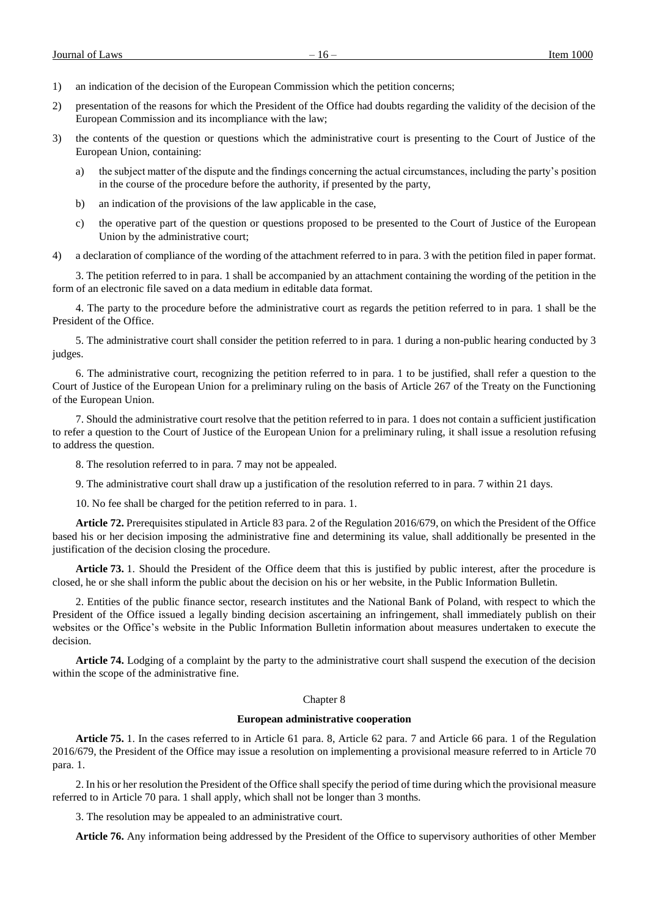- 1) an indication of the decision of the European Commission which the petition concerns;
- 2) presentation of the reasons for which the President of the Office had doubts regarding the validity of the decision of the European Commission and its incompliance with the law;
- 3) the contents of the question or questions which the administrative court is presenting to the Court of Justice of the European Union, containing:
	- a) the subject matter of the dispute and the findings concerning the actual circumstances, including the party's position in the course of the procedure before the authority, if presented by the party,
	- b) an indication of the provisions of the law applicable in the case,
	- c) the operative part of the question or questions proposed to be presented to the Court of Justice of the European Union by the administrative court;
- 4) a declaration of compliance of the wording of the attachment referred to in para. 3 with the petition filed in paper format.

3. The petition referred to in para. 1 shall be accompanied by an attachment containing the wording of the petition in the form of an electronic file saved on a data medium in editable data format.

4. The party to the procedure before the administrative court as regards the petition referred to in para. 1 shall be the President of the Office.

5. The administrative court shall consider the petition referred to in para. 1 during a non-public hearing conducted by 3 judges.

6. The administrative court, recognizing the petition referred to in para. 1 to be justified, shall refer a question to the Court of Justice of the European Union for a preliminary ruling on the basis of Article 267 of the Treaty on the Functioning of the European Union.

7. Should the administrative court resolve that the petition referred to in para. 1 does not contain a sufficient justification to refer a question to the Court of Justice of the European Union for a preliminary ruling, it shall issue a resolution refusing to address the question.

8. The resolution referred to in para. 7 may not be appealed.

9. The administrative court shall draw up a justification of the resolution referred to in para. 7 within 21 days.

10. No fee shall be charged for the petition referred to in para. 1.

**Article 72.** Prerequisites stipulated in Article 83 para. 2 of the Regulation 2016/679, on which the President of the Office based his or her decision imposing the administrative fine and determining its value, shall additionally be presented in the justification of the decision closing the procedure.

**Article 73.** 1. Should the President of the Office deem that this is justified by public interest, after the procedure is closed, he or she shall inform the public about the decision on his or her website, in the Public Information Bulletin.

2. Entities of the public finance sector, research institutes and the National Bank of Poland, with respect to which the President of the Office issued a legally binding decision ascertaining an infringement, shall immediately publish on their websites or the Office's website in the Public Information Bulletin information about measures undertaken to execute the decision.

**Article 74.** Lodging of a complaint by the party to the administrative court shall suspend the execution of the decision within the scope of the administrative fine.

#### Chapter 8

# **European administrative cooperation**

**Article 75.** 1. In the cases referred to in Article 61 para. 8, Article 62 para. 7 and Article 66 para. 1 of the Regulation 2016/679, the President of the Office may issue a resolution on implementing a provisional measure referred to in Article 70 para. 1.

2. In his or her resolution the President of the Office shall specify the period of time during which the provisional measure referred to in Article 70 para. 1 shall apply, which shall not be longer than 3 months.

3. The resolution may be appealed to an administrative court.

**Article 76.** Any information being addressed by the President of the Office to supervisory authorities of other Member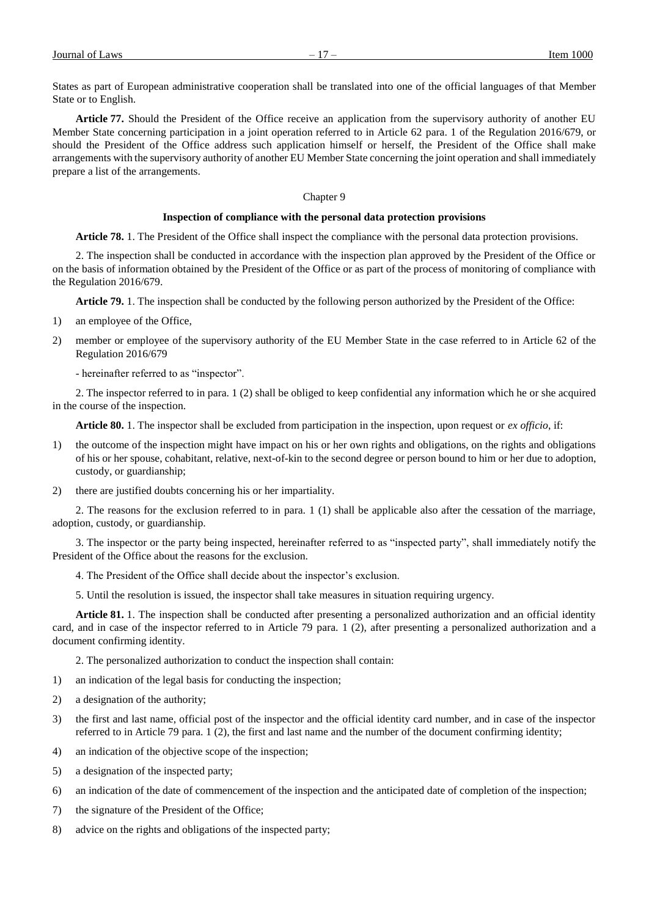States as part of European administrative cooperation shall be translated into one of the official languages of that Member State or to English.

**Article 77.** Should the President of the Office receive an application from the supervisory authority of another EU Member State concerning participation in a joint operation referred to in Article 62 para. 1 of the Regulation 2016/679, or should the President of the Office address such application himself or herself, the President of the Office shall make arrangements with the supervisory authority of another EU Member State concerning the joint operation and shall immediately prepare a list of the arrangements.

# Chapter 9

# **Inspection of compliance with the personal data protection provisions**

**Article 78.** 1. The President of the Office shall inspect the compliance with the personal data protection provisions.

2. The inspection shall be conducted in accordance with the inspection plan approved by the President of the Office or on the basis of information obtained by the President of the Office or as part of the process of monitoring of compliance with the Regulation 2016/679.

**Article 79.** 1. The inspection shall be conducted by the following person authorized by the President of the Office:

- 1) an employee of the Office,
- 2) member or employee of the supervisory authority of the EU Member State in the case referred to in Article 62 of the Regulation 2016/679

- hereinafter referred to as "inspector".

2. The inspector referred to in para. 1 (2) shall be obliged to keep confidential any information which he or she acquired in the course of the inspection.

**Article 80.** 1. The inspector shall be excluded from participation in the inspection, upon request or *ex officio*, if:

- 1) the outcome of the inspection might have impact on his or her own rights and obligations, on the rights and obligations of his or her spouse, cohabitant, relative, next-of-kin to the second degree or person bound to him or her due to adoption, custody, or guardianship;
- 2) there are justified doubts concerning his or her impartiality.

2. The reasons for the exclusion referred to in para. 1 (1) shall be applicable also after the cessation of the marriage, adoption, custody, or guardianship.

3. The inspector or the party being inspected, hereinafter referred to as "inspected party", shall immediately notify the President of the Office about the reasons for the exclusion.

- 4. The President of the Office shall decide about the inspector's exclusion.
- 5. Until the resolution is issued, the inspector shall take measures in situation requiring urgency.

**Article 81.** 1. The inspection shall be conducted after presenting a personalized authorization and an official identity card, and in case of the inspector referred to in Article 79 para. 1 (2), after presenting a personalized authorization and a document confirming identity.

2. The personalized authorization to conduct the inspection shall contain:

- 1) an indication of the legal basis for conducting the inspection;
- 2) a designation of the authority;
- 3) the first and last name, official post of the inspector and the official identity card number, and in case of the inspector referred to in Article 79 para. 1 (2), the first and last name and the number of the document confirming identity;
- 4) an indication of the objective scope of the inspection;
- 5) a designation of the inspected party;
- 6) an indication of the date of commencement of the inspection and the anticipated date of completion of the inspection;
- 7) the signature of the President of the Office;
- 8) advice on the rights and obligations of the inspected party;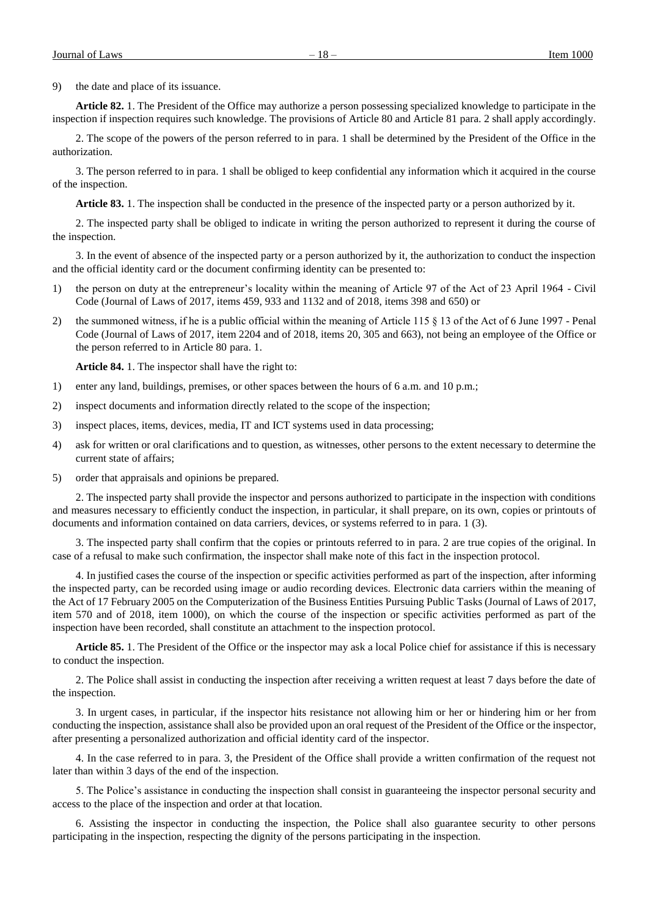9) the date and place of its issuance.

**Article 82.** 1. The President of the Office may authorize a person possessing specialized knowledge to participate in the inspection if inspection requires such knowledge. The provisions of Article 80 and Article 81 para. 2 shall apply accordingly.

2. The scope of the powers of the person referred to in para. 1 shall be determined by the President of the Office in the authorization.

3. The person referred to in para. 1 shall be obliged to keep confidential any information which it acquired in the course of the inspection.

**Article 83.** 1. The inspection shall be conducted in the presence of the inspected party or a person authorized by it.

2. The inspected party shall be obliged to indicate in writing the person authorized to represent it during the course of the inspection.

3. In the event of absence of the inspected party or a person authorized by it, the authorization to conduct the inspection and the official identity card or the document confirming identity can be presented to:

- 1) the person on duty at the entrepreneur's locality within the meaning of Article 97 of the Act of 23 April 1964 Civil Code (Journal of Laws of 2017, items 459, 933 and 1132 and of 2018, items 398 and 650) or
- 2) the summoned witness, if he is a public official within the meaning of Article 115 § 13 of the Act of 6 June 1997 Penal Code (Journal of Laws of 2017, item 2204 and of 2018, items 20, 305 and 663), not being an employee of the Office or the person referred to in Article 80 para. 1.

**Article 84.** 1. The inspector shall have the right to:

- 1) enter any land, buildings, premises, or other spaces between the hours of 6 a.m. and 10 p.m.;
- 2) inspect documents and information directly related to the scope of the inspection;
- 3) inspect places, items, devices, media, IT and ICT systems used in data processing;
- 4) ask for written or oral clarifications and to question, as witnesses, other persons to the extent necessary to determine the current state of affairs;
- 5) order that appraisals and opinions be prepared.

2. The inspected party shall provide the inspector and persons authorized to participate in the inspection with conditions and measures necessary to efficiently conduct the inspection, in particular, it shall prepare, on its own, copies or printouts of documents and information contained on data carriers, devices, or systems referred to in para. 1 (3).

3. The inspected party shall confirm that the copies or printouts referred to in para. 2 are true copies of the original. In case of a refusal to make such confirmation, the inspector shall make note of this fact in the inspection protocol.

4. In justified cases the course of the inspection or specific activities performed as part of the inspection, after informing the inspected party, can be recorded using image or audio recording devices. Electronic data carriers within the meaning of the Act of 17 February 2005 on the Computerization of the Business Entities Pursuing Public Tasks (Journal of Laws of 2017, item 570 and of 2018, item 1000), on which the course of the inspection or specific activities performed as part of the inspection have been recorded, shall constitute an attachment to the inspection protocol.

**Article 85.** 1. The President of the Office or the inspector may ask a local Police chief for assistance if this is necessary to conduct the inspection.

2. The Police shall assist in conducting the inspection after receiving a written request at least 7 days before the date of the inspection.

3. In urgent cases, in particular, if the inspector hits resistance not allowing him or her or hindering him or her from conducting the inspection, assistance shall also be provided upon an oral request of the President of the Office or the inspector, after presenting a personalized authorization and official identity card of the inspector.

4. In the case referred to in para. 3, the President of the Office shall provide a written confirmation of the request not later than within 3 days of the end of the inspection.

5. The Police's assistance in conducting the inspection shall consist in guaranteeing the inspector personal security and access to the place of the inspection and order at that location.

6. Assisting the inspector in conducting the inspection, the Police shall also guarantee security to other persons participating in the inspection, respecting the dignity of the persons participating in the inspection.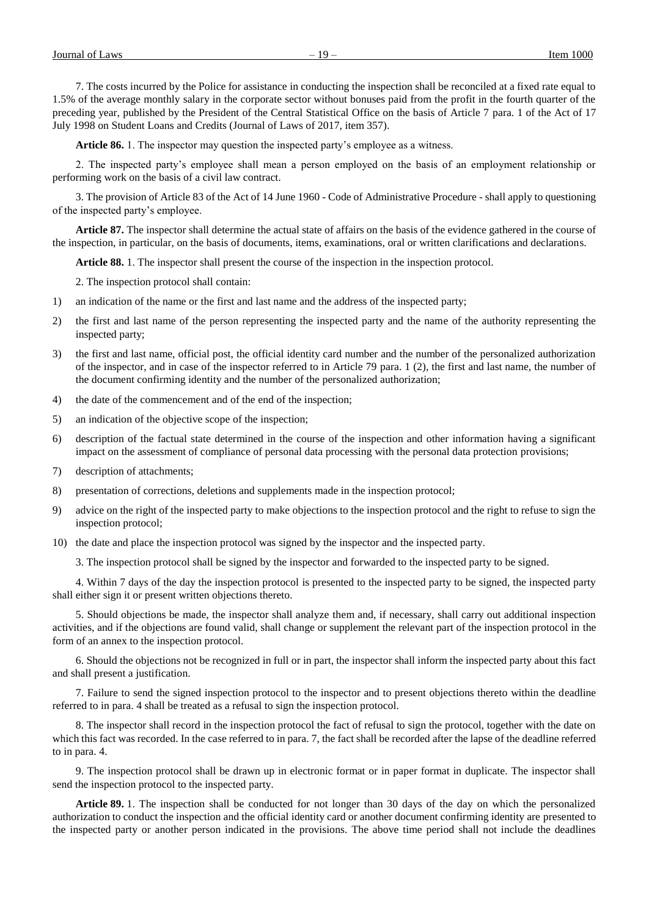7. The costs incurred by the Police for assistance in conducting the inspection shall be reconciled at a fixed rate equal to 1.5% of the average monthly salary in the corporate sector without bonuses paid from the profit in the fourth quarter of the preceding year, published by the President of the Central Statistical Office on the basis of Article 7 para. 1 of the Act of 17 July 1998 on Student Loans and Credits (Journal of Laws of 2017, item 357).

**Article 86.** 1. The inspector may question the inspected party's employee as a witness.

2. The inspected party's employee shall mean a person employed on the basis of an employment relationship or performing work on the basis of a civil law contract.

3. The provision of Article 83 of the Act of 14 June 1960 - Code of Administrative Procedure - shall apply to questioning of the inspected party's employee.

**Article 87.** The inspector shall determine the actual state of affairs on the basis of the evidence gathered in the course of the inspection, in particular, on the basis of documents, items, examinations, oral or written clarifications and declarations.

**Article 88.** 1. The inspector shall present the course of the inspection in the inspection protocol.

2. The inspection protocol shall contain:

- 1) an indication of the name or the first and last name and the address of the inspected party;
- 2) the first and last name of the person representing the inspected party and the name of the authority representing the inspected party;
- 3) the first and last name, official post, the official identity card number and the number of the personalized authorization of the inspector, and in case of the inspector referred to in Article 79 para. 1 (2), the first and last name, the number of the document confirming identity and the number of the personalized authorization;
- 4) the date of the commencement and of the end of the inspection;
- 5) an indication of the objective scope of the inspection;
- 6) description of the factual state determined in the course of the inspection and other information having a significant impact on the assessment of compliance of personal data processing with the personal data protection provisions;
- 7) description of attachments;
- 8) presentation of corrections, deletions and supplements made in the inspection protocol;
- 9) advice on the right of the inspected party to make objections to the inspection protocol and the right to refuse to sign the inspection protocol;
- 10) the date and place the inspection protocol was signed by the inspector and the inspected party.

3. The inspection protocol shall be signed by the inspector and forwarded to the inspected party to be signed.

4. Within 7 days of the day the inspection protocol is presented to the inspected party to be signed, the inspected party shall either sign it or present written objections thereto.

5. Should objections be made, the inspector shall analyze them and, if necessary, shall carry out additional inspection activities, and if the objections are found valid, shall change or supplement the relevant part of the inspection protocol in the form of an annex to the inspection protocol.

6. Should the objections not be recognized in full or in part, the inspector shall inform the inspected party about this fact and shall present a justification.

7. Failure to send the signed inspection protocol to the inspector and to present objections thereto within the deadline referred to in para. 4 shall be treated as a refusal to sign the inspection protocol.

8. The inspector shall record in the inspection protocol the fact of refusal to sign the protocol, together with the date on which this fact was recorded. In the case referred to in para. 7, the fact shall be recorded after the lapse of the deadline referred to in para. 4.

9. The inspection protocol shall be drawn up in electronic format or in paper format in duplicate. The inspector shall send the inspection protocol to the inspected party.

**Article 89.** 1. The inspection shall be conducted for not longer than 30 days of the day on which the personalized authorization to conduct the inspection and the official identity card or another document confirming identity are presented to the inspected party or another person indicated in the provisions. The above time period shall not include the deadlines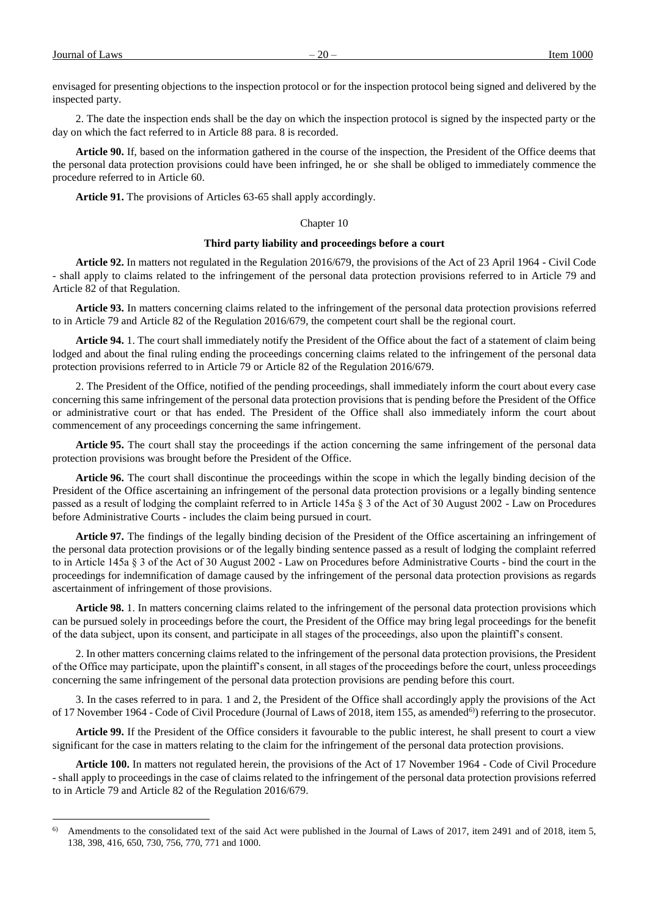a<br>B

envisaged for presenting objections to the inspection protocol or for the inspection protocol being signed and delivered by the inspected party.

2. The date the inspection ends shall be the day on which the inspection protocol is signed by the inspected party or the day on which the fact referred to in Article 88 para. 8 is recorded.

**Article 90.** If, based on the information gathered in the course of the inspection, the President of the Office deems that the personal data protection provisions could have been infringed, he or she shall be obliged to immediately commence the procedure referred to in Article 60.

**Article 91.** The provisions of Articles 63-65 shall apply accordingly.

# Chapter 10

#### **Third party liability and proceedings before a court**

**Article 92.** In matters not regulated in the Regulation 2016/679, the provisions of the Act of 23 April 1964 - Civil Code - shall apply to claims related to the infringement of the personal data protection provisions referred to in Article 79 and Article 82 of that Regulation.

**Article 93.** In matters concerning claims related to the infringement of the personal data protection provisions referred to in Article 79 and Article 82 of the Regulation 2016/679, the competent court shall be the regional court.

**Article 94.** 1. The court shall immediately notify the President of the Office about the fact of a statement of claim being lodged and about the final ruling ending the proceedings concerning claims related to the infringement of the personal data protection provisions referred to in Article 79 or Article 82 of the Regulation 2016/679.

2. The President of the Office, notified of the pending proceedings, shall immediately inform the court about every case concerning this same infringement of the personal data protection provisions that is pending before the President of the Office or administrative court or that has ended. The President of the Office shall also immediately inform the court about commencement of any proceedings concerning the same infringement.

**Article 95.** The court shall stay the proceedings if the action concerning the same infringement of the personal data protection provisions was brought before the President of the Office.

**Article 96.** The court shall discontinue the proceedings within the scope in which the legally binding decision of the President of the Office ascertaining an infringement of the personal data protection provisions or a legally binding sentence passed as a result of lodging the complaint referred to in Article 145a § 3 of the Act of 30 August 2002 - Law on Procedures before Administrative Courts - includes the claim being pursued in court.

**Article 97.** The findings of the legally binding decision of the President of the Office ascertaining an infringement of the personal data protection provisions or of the legally binding sentence passed as a result of lodging the complaint referred to in Article 145a § 3 of the Act of 30 August 2002 - Law on Procedures before Administrative Courts - bind the court in the proceedings for indemnification of damage caused by the infringement of the personal data protection provisions as regards ascertainment of infringement of those provisions.

**Article 98.** 1. In matters concerning claims related to the infringement of the personal data protection provisions which can be pursued solely in proceedings before the court, the President of the Office may bring legal proceedings for the benefit of the data subject, upon its consent, and participate in all stages of the proceedings, also upon the plaintiff's consent.

2. In other matters concerning claims related to the infringement of the personal data protection provisions, the President of the Office may participate, upon the plaintiff's consent, in all stages of the proceedings before the court, unless proceedings concerning the same infringement of the personal data protection provisions are pending before this court.

3. In the cases referred to in para. 1 and 2, the President of the Office shall accordingly apply the provisions of the Act of 17 November 1964 - Code of Civil Procedure (Journal of Laws of 2018, item 155, as amended<sup>6)</sup>) referring to the prosecutor.

**Article 99.** If the President of the Office considers it favourable to the public interest, he shall present to court a view significant for the case in matters relating to the claim for the infringement of the personal data protection provisions.

**Article 100.** In matters not regulated herein, the provisions of the Act of 17 November 1964 - Code of Civil Procedure - shall apply to proceedings in the case of claims related to the infringement of the personal data protection provisions referred to in Article 79 and Article 82 of the Regulation 2016/679.

 $6$  Amendments to the consolidated text of the said Act were published in the Journal of Laws of 2017, item 2491 and of 2018, item 5, 138, 398, 416, 650, 730, 756, 770, 771 and 1000.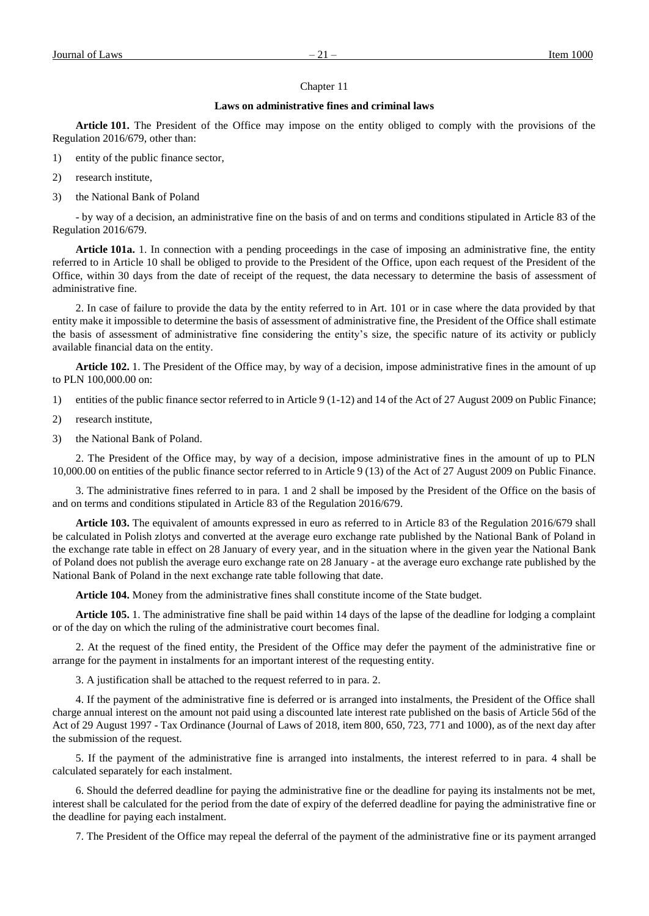# Chapter 11

# **Laws on administrative fines and criminal laws**

**Article 101.** The President of the Office may impose on the entity obliged to comply with the provisions of the Regulation 2016/679, other than:

- 1) entity of the public finance sector,
- 2) research institute,
- 3) the National Bank of Poland

- by way of a decision, an administrative fine on the basis of and on terms and conditions stipulated in Article 83 of the Regulation 2016/679.

**Article 101a.** 1. In connection with a pending proceedings in the case of imposing an administrative fine, the entity referred to in Article 10 shall be obliged to provide to the President of the Office, upon each request of the President of the Office, within 30 days from the date of receipt of the request, the data necessary to determine the basis of assessment of administrative fine.

2. In case of failure to provide the data by the entity referred to in Art. 101 or in case where the data provided by that entity make it impossible to determine the basis of assessment of administrative fine, the President of the Office shall estimate the basis of assessment of administrative fine considering the entity's size, the specific nature of its activity or publicly available financial data on the entity.

**Article 102.** 1. The President of the Office may, by way of a decision, impose administrative fines in the amount of up to PLN 100,000.00 on:

- 1) entities of the public finance sector referred to in Article 9 (1-12) and 14 of the Act of 27 August 2009 on Public Finance;
- 2) research institute,
- 3) the National Bank of Poland.

2. The President of the Office may, by way of a decision, impose administrative fines in the amount of up to PLN 10,000.00 on entities of the public finance sector referred to in Article 9 (13) of the Act of 27 August 2009 on Public Finance.

3. The administrative fines referred to in para. 1 and 2 shall be imposed by the President of the Office on the basis of and on terms and conditions stipulated in Article 83 of the Regulation 2016/679.

**Article 103.** The equivalent of amounts expressed in euro as referred to in Article 83 of the Regulation 2016/679 shall be calculated in Polish zlotys and converted at the average euro exchange rate published by the National Bank of Poland in the exchange rate table in effect on 28 January of every year, and in the situation where in the given year the National Bank of Poland does not publish the average euro exchange rate on 28 January - at the average euro exchange rate published by the National Bank of Poland in the next exchange rate table following that date.

**Article 104.** Money from the administrative fines shall constitute income of the State budget.

**Article 105.** 1. The administrative fine shall be paid within 14 days of the lapse of the deadline for lodging a complaint or of the day on which the ruling of the administrative court becomes final.

2. At the request of the fined entity, the President of the Office may defer the payment of the administrative fine or arrange for the payment in instalments for an important interest of the requesting entity.

3. A justification shall be attached to the request referred to in para. 2.

4. If the payment of the administrative fine is deferred or is arranged into instalments, the President of the Office shall charge annual interest on the amount not paid using a discounted late interest rate published on the basis of Article 56d of the Act of 29 August 1997 - Tax Ordinance (Journal of Laws of 2018, item 800, 650, 723, 771 and 1000), as of the next day after the submission of the request.

5. If the payment of the administrative fine is arranged into instalments, the interest referred to in para. 4 shall be calculated separately for each instalment.

6. Should the deferred deadline for paying the administrative fine or the deadline for paying its instalments not be met, interest shall be calculated for the period from the date of expiry of the deferred deadline for paying the administrative fine or the deadline for paying each instalment.

7. The President of the Office may repeal the deferral of the payment of the administrative fine or its payment arranged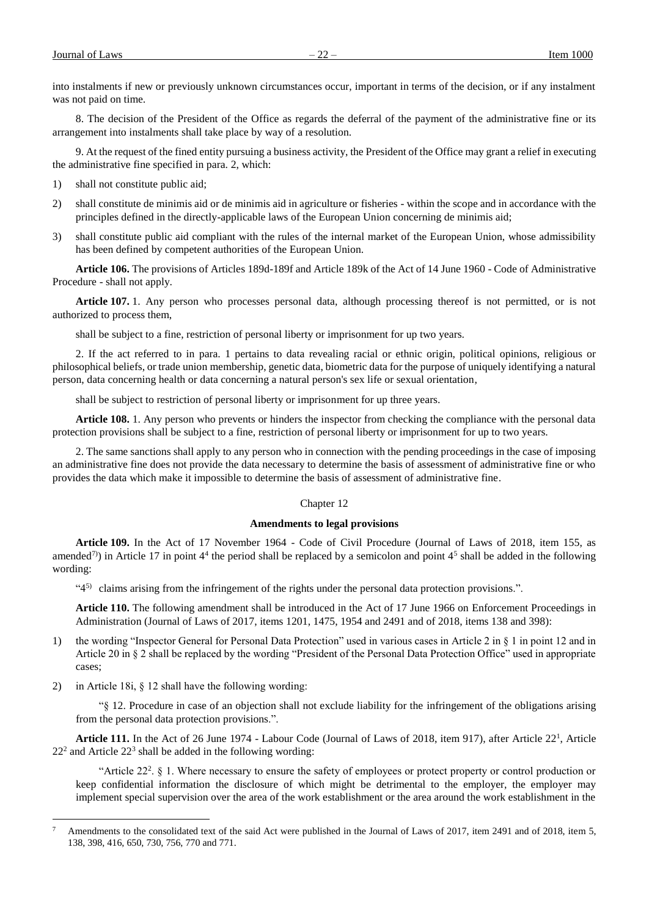into instalments if new or previously unknown circumstances occur, important in terms of the decision, or if any instalment was not paid on time.

8. The decision of the President of the Office as regards the deferral of the payment of the administrative fine or its arrangement into instalments shall take place by way of a resolution.

9. At the request of the fined entity pursuing a business activity, the President of the Office may grant a relief in executing the administrative fine specified in para. 2, which:

- 1) shall not constitute public aid;
- 2) shall constitute de minimis aid or de minimis aid in agriculture or fisheries within the scope and in accordance with the principles defined in the directly-applicable laws of the European Union concerning de minimis aid;
- 3) shall constitute public aid compliant with the rules of the internal market of the European Union, whose admissibility has been defined by competent authorities of the European Union.

**Article 106.** The provisions of Articles 189d-189f and Article 189k of the Act of 14 June 1960 - Code of Administrative Procedure - shall not apply.

**Article 107.** 1. Any person who processes personal data, although processing thereof is not permitted, or is not authorized to process them,

shall be subject to a fine, restriction of personal liberty or imprisonment for up two years.

2. If the act referred to in para. 1 pertains to data revealing racial or ethnic origin, political opinions, religious or philosophical beliefs, or trade union membership, genetic data, biometric data for the purpose of uniquely identifying a natural person, data concerning health or data concerning a natural person's sex life or sexual orientation,

shall be subject to restriction of personal liberty or imprisonment for up three years.

**Article 108.** 1. Any person who prevents or hinders the inspector from checking the compliance with the personal data protection provisions shall be subject to a fine, restriction of personal liberty or imprisonment for up to two years.

2. The same sanctions shall apply to any person who in connection with the pending proceedings in the case of imposing an administrative fine does not provide the data necessary to determine the basis of assessment of administrative fine or who provides the data which make it impossible to determine the basis of assessment of administrative fine.

## Chapter 12

# **Amendments to legal provisions**

**Article 109.** In the Act of 17 November 1964 - Code of Civil Procedure (Journal of Laws of 2018, item 155, as amended<sup>7</sup>) in Article 17 in point 4<sup>4</sup> the period shall be replaced by a semicolon and point 4<sup>5</sup> shall be added in the following wording:

"45) claims arising from the infringement of the rights under the personal data protection provisions.".

**Article 110.** The following amendment shall be introduced in the Act of 17 June 1966 on Enforcement Proceedings in Administration (Journal of Laws of 2017, items 1201, 1475, 1954 and 2491 and of 2018, items 138 and 398):

- 1) the wording "Inspector General for Personal Data Protection" used in various cases in Article 2 in § 1 in point 12 and in Article 20 in § 2 shall be replaced by the wording "President of the Personal Data Protection Office" used in appropriate cases;
- 2) in Article 18i, § 12 shall have the following wording:

a<br>B

"§ 12. Procedure in case of an objection shall not exclude liability for the infringement of the obligations arising from the personal data protection provisions.".

Article 111. In the Act of 26 June 1974 - Labour Code (Journal of Laws of 2018, item 917), after Article 22<sup>1</sup>, Article  $22<sup>2</sup>$  and Article  $22<sup>3</sup>$  shall be added in the following wording:

"Article 22<sup>2</sup>. § 1. Where necessary to ensure the safety of employees or protect property or control production or keep confidential information the disclosure of which might be detrimental to the employer, the employer may implement special supervision over the area of the work establishment or the area around the work establishment in the

Amendments to the consolidated text of the said Act were published in the Journal of Laws of 2017, item 2491 and of 2018, item 5, 138, 398, 416, 650, 730, 756, 770 and 771.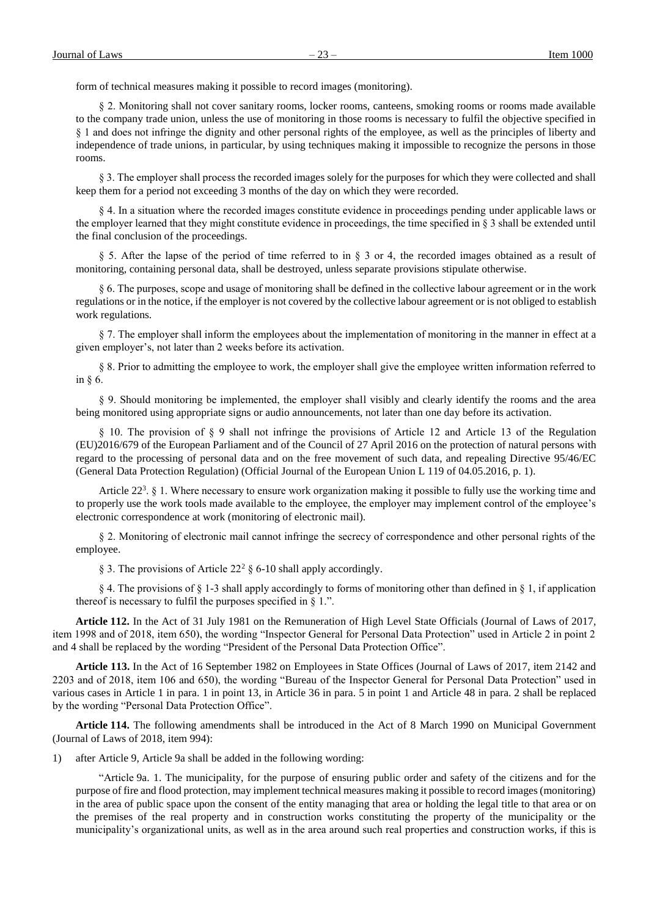form of technical measures making it possible to record images (monitoring).

§ 2. Monitoring shall not cover sanitary rooms, locker rooms, canteens, smoking rooms or rooms made available to the company trade union, unless the use of monitoring in those rooms is necessary to fulfil the objective specified in § 1 and does not infringe the dignity and other personal rights of the employee, as well as the principles of liberty and independence of trade unions, in particular, by using techniques making it impossible to recognize the persons in those rooms.

§ 3. The employer shall process the recorded images solely for the purposes for which they were collected and shall keep them for a period not exceeding 3 months of the day on which they were recorded.

§ 4. In a situation where the recorded images constitute evidence in proceedings pending under applicable laws or the employer learned that they might constitute evidence in proceedings, the time specified in § 3 shall be extended until the final conclusion of the proceedings.

§ 5. After the lapse of the period of time referred to in § 3 or 4, the recorded images obtained as a result of monitoring, containing personal data, shall be destroyed, unless separate provisions stipulate otherwise.

§ 6. The purposes, scope and usage of monitoring shall be defined in the collective labour agreement or in the work regulations or in the notice, if the employer is not covered by the collective labour agreement or is not obliged to establish work regulations.

§ 7. The employer shall inform the employees about the implementation of monitoring in the manner in effect at a given employer's, not later than 2 weeks before its activation.

§ 8. Prior to admitting the employee to work, the employer shall give the employee written information referred to in § 6.

§ 9. Should monitoring be implemented, the employer shall visibly and clearly identify the rooms and the area being monitored using appropriate signs or audio announcements, not later than one day before its activation.

§ 10. The provision of § 9 shall not infringe the provisions of Article 12 and Article 13 of the Regulation (EU)2016/679 of the European Parliament and of the Council of 27 April 2016 on the protection of natural persons with regard to the processing of personal data and on the free movement of such data, and repealing Directive 95/46/EC (General Data Protection Regulation) (Official Journal of the European Union L 119 of 04.05.2016, p. 1).

Article 22<sup>3</sup>. § 1. Where necessary to ensure work organization making it possible to fully use the working time and to properly use the work tools made available to the employee, the employer may implement control of the employee's electronic correspondence at work (monitoring of electronic mail).

§ 2. Monitoring of electronic mail cannot infringe the secrecy of correspondence and other personal rights of the employee.

§ 3. The provisions of Article 22<sup>2</sup> § 6-10 shall apply accordingly.

§ 4. The provisions of § 1-3 shall apply accordingly to forms of monitoring other than defined in § 1, if application thereof is necessary to fulfil the purposes specified in § 1.".

**Article 112.** In the Act of 31 July 1981 on the Remuneration of High Level State Officials (Journal of Laws of 2017, item 1998 and of 2018, item 650), the wording "Inspector General for Personal Data Protection" used in Article 2 in point 2 and 4 shall be replaced by the wording "President of the Personal Data Protection Office".

**Article 113.** In the Act of 16 September 1982 on Employees in State Offices (Journal of Laws of 2017, item 2142 and 2203 and of 2018, item 106 and 650), the wording "Bureau of the Inspector General for Personal Data Protection" used in various cases in Article 1 in para. 1 in point 13, in Article 36 in para. 5 in point 1 and Article 48 in para. 2 shall be replaced by the wording "Personal Data Protection Office".

**Article 114.** The following amendments shall be introduced in the Act of 8 March 1990 on Municipal Government (Journal of Laws of 2018, item 994):

1) after Article 9, Article 9a shall be added in the following wording:

"Article 9a. 1. The municipality, for the purpose of ensuring public order and safety of the citizens and for the purpose of fire and flood protection, may implement technical measures making it possible to record images (monitoring) in the area of public space upon the consent of the entity managing that area or holding the legal title to that area or on the premises of the real property and in construction works constituting the property of the municipality or the municipality's organizational units, as well as in the area around such real properties and construction works, if this is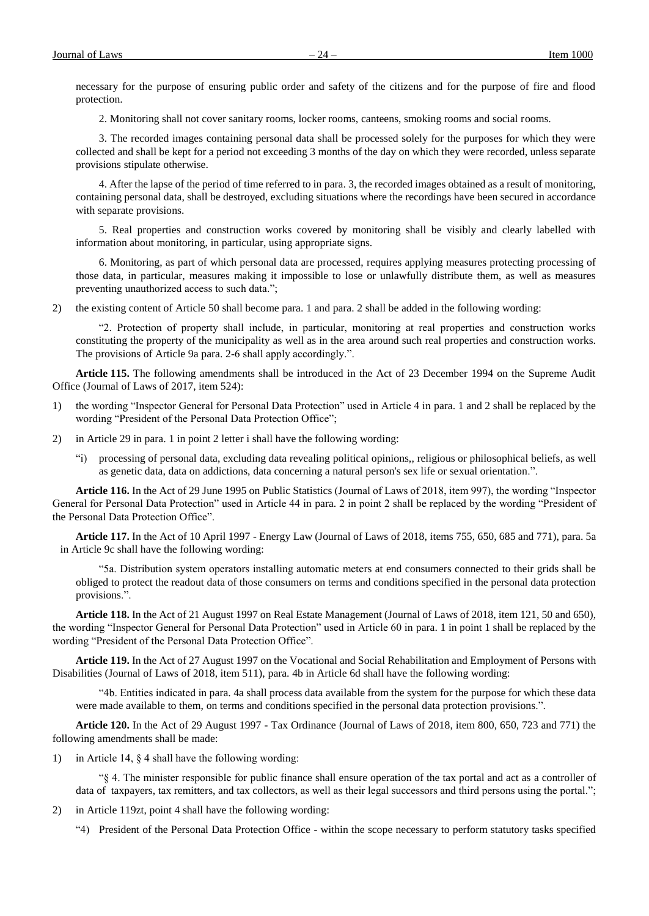necessary for the purpose of ensuring public order and safety of the citizens and for the purpose of fire and flood protection.

2. Monitoring shall not cover sanitary rooms, locker rooms, canteens, smoking rooms and social rooms.

3. The recorded images containing personal data shall be processed solely for the purposes for which they were collected and shall be kept for a period not exceeding 3 months of the day on which they were recorded, unless separate provisions stipulate otherwise.

4. After the lapse of the period of time referred to in para. 3, the recorded images obtained as a result of monitoring, containing personal data, shall be destroyed, excluding situations where the recordings have been secured in accordance with separate provisions.

5. Real properties and construction works covered by monitoring shall be visibly and clearly labelled with information about monitoring, in particular, using appropriate signs.

6. Monitoring, as part of which personal data are processed, requires applying measures protecting processing of those data, in particular, measures making it impossible to lose or unlawfully distribute them, as well as measures preventing unauthorized access to such data.";

2) the existing content of Article 50 shall become para. 1 and para. 2 shall be added in the following wording:

"2. Protection of property shall include, in particular, monitoring at real properties and construction works constituting the property of the municipality as well as in the area around such real properties and construction works. The provisions of Article 9a para. 2-6 shall apply accordingly.".

**Article 115.** The following amendments shall be introduced in the Act of 23 December 1994 on the Supreme Audit Office (Journal of Laws of 2017, item 524):

- 1) the wording "Inspector General for Personal Data Protection" used in Article 4 in para. 1 and 2 shall be replaced by the wording "President of the Personal Data Protection Office";
- 2) in Article 29 in para. 1 in point 2 letter i shall have the following wording:
	- "i) processing of personal data, excluding data revealing political opinions,, religious or philosophical beliefs, as well as genetic data, data on addictions, data concerning a natural person's sex life or sexual orientation.".

**Article 116.** In the Act of 29 June 1995 on Public Statistics (Journal of Laws of 2018, item 997), the wording "Inspector General for Personal Data Protection" used in Article 44 in para. 2 in point 2 shall be replaced by the wording "President of the Personal Data Protection Office".

**Article 117.** In the Act of 10 April 1997 - Energy Law (Journal of Laws of 2018, items 755, 650, 685 and 771), para. 5a in Article 9c shall have the following wording:

"5a. Distribution system operators installing automatic meters at end consumers connected to their grids shall be obliged to protect the readout data of those consumers on terms and conditions specified in the personal data protection provisions.".

**Article 118.** In the Act of 21 August 1997 on Real Estate Management (Journal of Laws of 2018, item 121, 50 and 650), the wording "Inspector General for Personal Data Protection" used in Article 60 in para. 1 in point 1 shall be replaced by the wording "President of the Personal Data Protection Office".

**Article 119.** In the Act of 27 August 1997 on the Vocational and Social Rehabilitation and Employment of Persons with Disabilities (Journal of Laws of 2018, item 511), para. 4b in Article 6d shall have the following wording:

"4b. Entities indicated in para. 4a shall process data available from the system for the purpose for which these data were made available to them, on terms and conditions specified in the personal data protection provisions.".

**Article 120.** In the Act of 29 August 1997 - Tax Ordinance (Journal of Laws of 2018, item 800, 650, 723 and 771) the following amendments shall be made:

1) in Article 14, § 4 shall have the following wording:

"§ 4. The minister responsible for public finance shall ensure operation of the tax portal and act as a controller of data of taxpayers, tax remitters, and tax collectors, as well as their legal successors and third persons using the portal.";

2) in Article 119zt, point 4 shall have the following wording:

"4) President of the Personal Data Protection Office - within the scope necessary to perform statutory tasks specified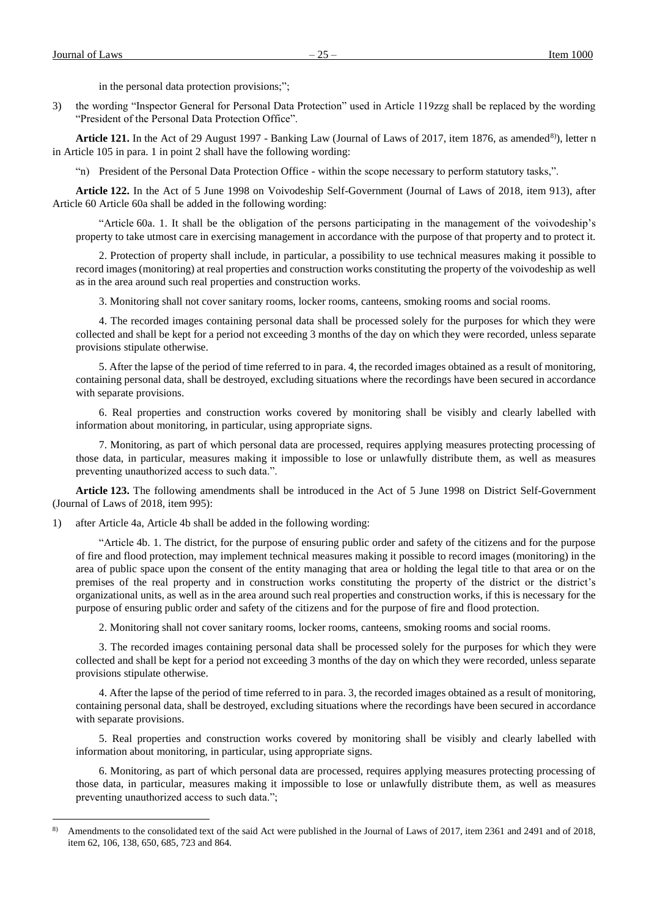a<br>B

in the personal data protection provisions;";

3) the wording "Inspector General for Personal Data Protection" used in Article 119zzg shall be replaced by the wording "President of the Personal Data Protection Office".

Article 121. In the Act of 29 August 1997 - Banking Law (Journal of Laws of 2017, item 1876, as amended<sup>8)</sup>), letter n in Article 105 in para. 1 in point 2 shall have the following wording:

"n) President of the Personal Data Protection Office - within the scope necessary to perform statutory tasks,".

**Article 122.** In the Act of 5 June 1998 on Voivodeship Self-Government (Journal of Laws of 2018, item 913), after Article 60 Article 60a shall be added in the following wording:

"Article 60a. 1. It shall be the obligation of the persons participating in the management of the voivodeship's property to take utmost care in exercising management in accordance with the purpose of that property and to protect it.

2. Protection of property shall include, in particular, a possibility to use technical measures making it possible to record images (monitoring) at real properties and construction works constituting the property of the voivodeship as well as in the area around such real properties and construction works.

3. Monitoring shall not cover sanitary rooms, locker rooms, canteens, smoking rooms and social rooms.

4. The recorded images containing personal data shall be processed solely for the purposes for which they were collected and shall be kept for a period not exceeding 3 months of the day on which they were recorded, unless separate provisions stipulate otherwise.

5. After the lapse of the period of time referred to in para. 4, the recorded images obtained as a result of monitoring, containing personal data, shall be destroyed, excluding situations where the recordings have been secured in accordance with separate provisions.

6. Real properties and construction works covered by monitoring shall be visibly and clearly labelled with information about monitoring, in particular, using appropriate signs.

7. Monitoring, as part of which personal data are processed, requires applying measures protecting processing of those data, in particular, measures making it impossible to lose or unlawfully distribute them, as well as measures preventing unauthorized access to such data.".

**Article 123.** The following amendments shall be introduced in the Act of 5 June 1998 on District Self-Government (Journal of Laws of 2018, item 995):

1) after Article 4a, Article 4b shall be added in the following wording:

"Article 4b. 1. The district, for the purpose of ensuring public order and safety of the citizens and for the purpose of fire and flood protection, may implement technical measures making it possible to record images (monitoring) in the area of public space upon the consent of the entity managing that area or holding the legal title to that area or on the premises of the real property and in construction works constituting the property of the district or the district's organizational units, as well as in the area around such real properties and construction works, if this is necessary for the purpose of ensuring public order and safety of the citizens and for the purpose of fire and flood protection.

2. Monitoring shall not cover sanitary rooms, locker rooms, canteens, smoking rooms and social rooms.

3. The recorded images containing personal data shall be processed solely for the purposes for which they were collected and shall be kept for a period not exceeding 3 months of the day on which they were recorded, unless separate provisions stipulate otherwise.

4. After the lapse of the period of time referred to in para. 3, the recorded images obtained as a result of monitoring, containing personal data, shall be destroyed, excluding situations where the recordings have been secured in accordance with separate provisions.

5. Real properties and construction works covered by monitoring shall be visibly and clearly labelled with information about monitoring, in particular, using appropriate signs.

6. Monitoring, as part of which personal data are processed, requires applying measures protecting processing of those data, in particular, measures making it impossible to lose or unlawfully distribute them, as well as measures preventing unauthorized access to such data.";

<sup>&</sup>lt;sup>8)</sup> Amendments to the consolidated text of the said Act were published in the Journal of Laws of 2017, item 2361 and 2491 and of 2018, item 62, 106, 138, 650, 685, 723 and 864.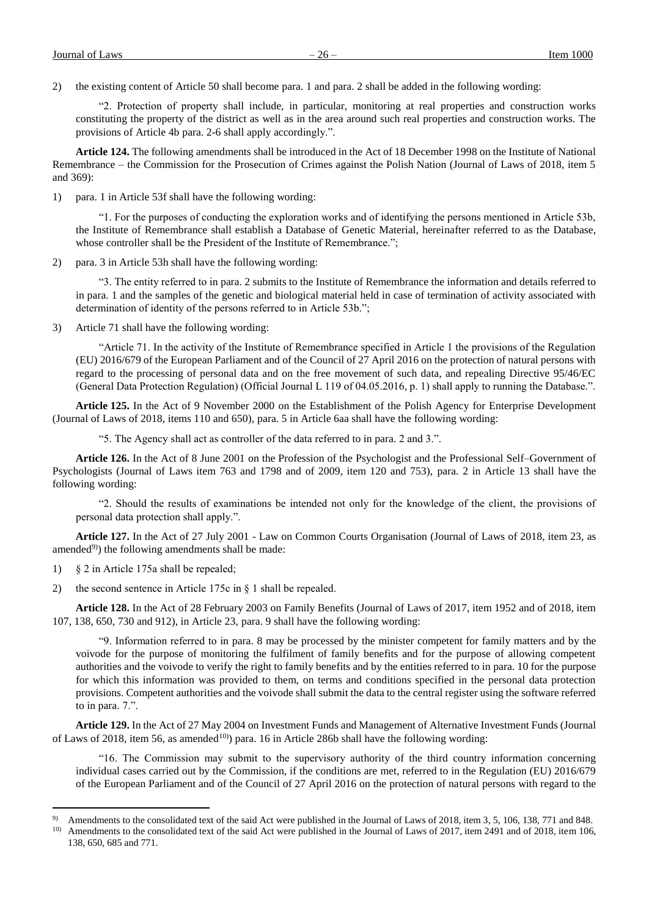2) the existing content of Article 50 shall become para. 1 and para. 2 shall be added in the following wording:

"2. Protection of property shall include, in particular, monitoring at real properties and construction works constituting the property of the district as well as in the area around such real properties and construction works. The provisions of Article 4b para. 2-6 shall apply accordingly.".

**Article 124.** The following amendments shall be introduced in the Act of 18 December 1998 on the Institute of National Remembrance – the Commission for the Prosecution of Crimes against the Polish Nation (Journal of Laws of 2018, item 5 and 369):

1) para. 1 in Article 53f shall have the following wording:

"1. For the purposes of conducting the exploration works and of identifying the persons mentioned in Article 53b, the Institute of Remembrance shall establish a Database of Genetic Material, hereinafter referred to as the Database, whose controller shall be the President of the Institute of Remembrance.";

2) para. 3 in Article 53h shall have the following wording:

"3. The entity referred to in para. 2 submits to the Institute of Remembrance the information and details referred to in para. 1 and the samples of the genetic and biological material held in case of termination of activity associated with determination of identity of the persons referred to in Article 53b.";

3) Article 71 shall have the following wording:

"Article 71. In the activity of the Institute of Remembrance specified in Article 1 the provisions of the Regulation (EU) 2016/679 of the European Parliament and of the Council of 27 April 2016 on the protection of natural persons with regard to the processing of personal data and on the free movement of such data, and repealing Directive 95/46/EC (General Data Protection Regulation) (Official Journal L 119 of 04.05.2016, p. 1) shall apply to running the Database.".

**Article 125.** In the Act of 9 November 2000 on the Establishment of the Polish Agency for Enterprise Development (Journal of Laws of 2018, items 110 and 650), para. 5 in Article 6aa shall have the following wording:

"5. The Agency shall act as controller of the data referred to in para. 2 and 3.".

**Article 126.** In the Act of 8 June 2001 on the Profession of the Psychologist and the Professional Self–Government of Psychologists (Journal of Laws item 763 and 1798 and of 2009, item 120 and 753), para. 2 in Article 13 shall have the following wording:

"2. Should the results of examinations be intended not only for the knowledge of the client, the provisions of personal data protection shall apply.".

**Article 127.** In the Act of 27 July 2001 - Law on Common Courts Organisation (Journal of Laws of 2018, item 23, as amended $^{(9)}$ ) the following amendments shall be made:

1) § 2 in Article 175a shall be repealed;

a<br>B

2) the second sentence in Article 175c in § 1 shall be repealed.

**Article 128.** In the Act of 28 February 2003 on Family Benefits (Journal of Laws of 2017, item 1952 and of 2018, item 107, 138, 650, 730 and 912), in Article 23, para. 9 shall have the following wording:

"9. Information referred to in para. 8 may be processed by the minister competent for family matters and by the voivode for the purpose of monitoring the fulfilment of family benefits and for the purpose of allowing competent authorities and the voivode to verify the right to family benefits and by the entities referred to in para. 10 for the purpose for which this information was provided to them, on terms and conditions specified in the personal data protection provisions. Competent authorities and the voivode shall submit the data to the central register using the software referred to in para. 7.".

**Article 129.** In the Act of 27 May 2004 on Investment Funds and Management of Alternative Investment Funds (Journal of Laws of 2018, item 56, as amended<sup>10)</sup>) para. 16 in Article 286b shall have the following wording:

"16. The Commission may submit to the supervisory authority of the third country information concerning individual cases carried out by the Commission, if the conditions are met, referred to in the Regulation (EU) 2016/679 of the European Parliament and of the Council of 27 April 2016 on the protection of natural persons with regard to the

Amendments to the consolidated text of the said Act were published in the Journal of Laws of 2018, item 3, 5, 106, 138, 771 and 848.

<sup>&</sup>lt;sup>10)</sup> Amendments to the consolidated text of the said Act were published in the Journal of Laws of 2017, item 2491 and of 2018, item 106, 138, 650, 685 and 771.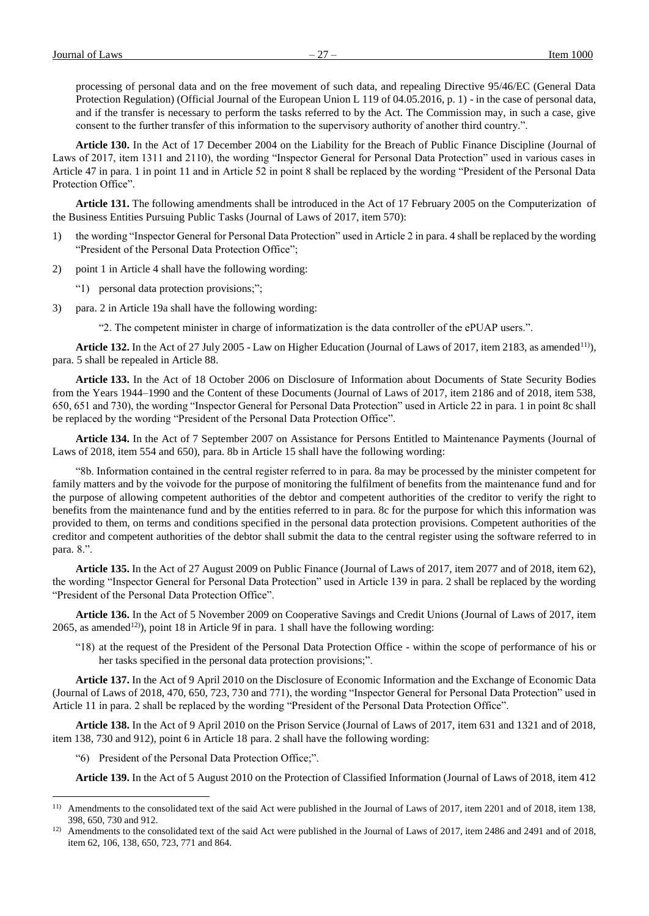Journal of Laws  $-27 -$  Item 1000

processing of personal data and on the free movement of such data, and repealing Directive 95/46/EC (General Data Protection Regulation) (Official Journal of the European Union L 119 of 04.05.2016, p. 1) - in the case of personal data, and if the transfer is necessary to perform the tasks referred to by the Act. The Commission may, in such a case, give consent to the further transfer of this information to the supervisory authority of another third country.".

**Article 130.** In the Act of 17 December 2004 on the Liability for the Breach of Public Finance Discipline (Journal of Laws of 2017, item 1311 and 2110), the wording "Inspector General for Personal Data Protection" used in various cases in Article 47 in para. 1 in point 11 and in Article 52 in point 8 shall be replaced by the wording "President of the Personal Data Protection Office".

**Article 131.** The following amendments shall be introduced in the Act of 17 February 2005 on the Computerization of the Business Entities Pursuing Public Tasks (Journal of Laws of 2017, item 570):

- 1) the wording "Inspector General for Personal Data Protection" used in Article 2 in para. 4 shall be replaced by the wording "President of the Personal Data Protection Office";
- 2) point 1 in Article 4 shall have the following wording:
	- "1) personal data protection provisions;";
- 3) para. 2 in Article 19a shall have the following wording:
	- "2. The competent minister in charge of informatization is the data controller of the ePUAP users.".

Article 132. In the Act of 27 July 2005 - Law on Higher Education (Journal of Laws of 2017, item 2183, as amended<sup>11)</sup>), para. 5 shall be repealed in Article 88.

**Article 133.** In the Act of 18 October 2006 on Disclosure of Information about Documents of State Security Bodies from the Years 1944–1990 and the Content of these Documents (Journal of Laws of 2017, item 2186 and of 2018, item 538, 650, 651 and 730), the wording "Inspector General for Personal Data Protection" used in Article 22 in para. 1 in point 8c shall be replaced by the wording "President of the Personal Data Protection Office".

**Article 134.** In the Act of 7 September 2007 on Assistance for Persons Entitled to Maintenance Payments (Journal of Laws of 2018, item 554 and 650), para. 8b in Article 15 shall have the following wording:

"8b. Information contained in the central register referred to in para. 8a may be processed by the minister competent for family matters and by the voivode for the purpose of monitoring the fulfilment of benefits from the maintenance fund and for the purpose of allowing competent authorities of the debtor and competent authorities of the creditor to verify the right to benefits from the maintenance fund and by the entities referred to in para. 8c for the purpose for which this information was provided to them, on terms and conditions specified in the personal data protection provisions. Competent authorities of the creditor and competent authorities of the debtor shall submit the data to the central register using the software referred to in para. 8.".

**Article 135.** In the Act of 27 August 2009 on Public Finance (Journal of Laws of 2017, item 2077 and of 2018, item 62), the wording "Inspector General for Personal Data Protection" used in Article 139 in para. 2 shall be replaced by the wording "President of the Personal Data Protection Office".

**Article 136.** In the Act of 5 November 2009 on Cooperative Savings and Credit Unions (Journal of Laws of 2017, item 2065, as amended<sup>12</sup>), point 18 in Article 9f in para. 1 shall have the following wording:

"18) at the request of the President of the Personal Data Protection Office - within the scope of performance of his or her tasks specified in the personal data protection provisions;".

**Article 137.** In the Act of 9 April 2010 on the Disclosure of Economic Information and the Exchange of Economic Data (Journal of Laws of 2018, 470, 650, 723, 730 and 771), the wording "Inspector General for Personal Data Protection" used in Article 11 in para. 2 shall be replaced by the wording "President of the Personal Data Protection Office".

**Article 138.** In the Act of 9 April 2010 on the Prison Service (Journal of Laws of 2017, item 631 and 1321 and of 2018, item 138, 730 and 912), point 6 in Article 18 para. 2 shall have the following wording:

"6) President of the Personal Data Protection Office;".

a<br>B

**Article 139.** In the Act of 5 August 2010 on the Protection of Classified Information (Journal of Laws of 2018, item 412

<sup>&</sup>lt;sup>11)</sup> Amendments to the consolidated text of the said Act were published in the Journal of Laws of 2017, item 2201 and of 2018, item 138, 398, 650, 730 and 912.

<sup>&</sup>lt;sup>12)</sup> Amendments to the consolidated text of the said Act were published in the Journal of Laws of 2017, item 2486 and 2491 and of 2018, item 62, 106, 138, 650, 723, 771 and 864.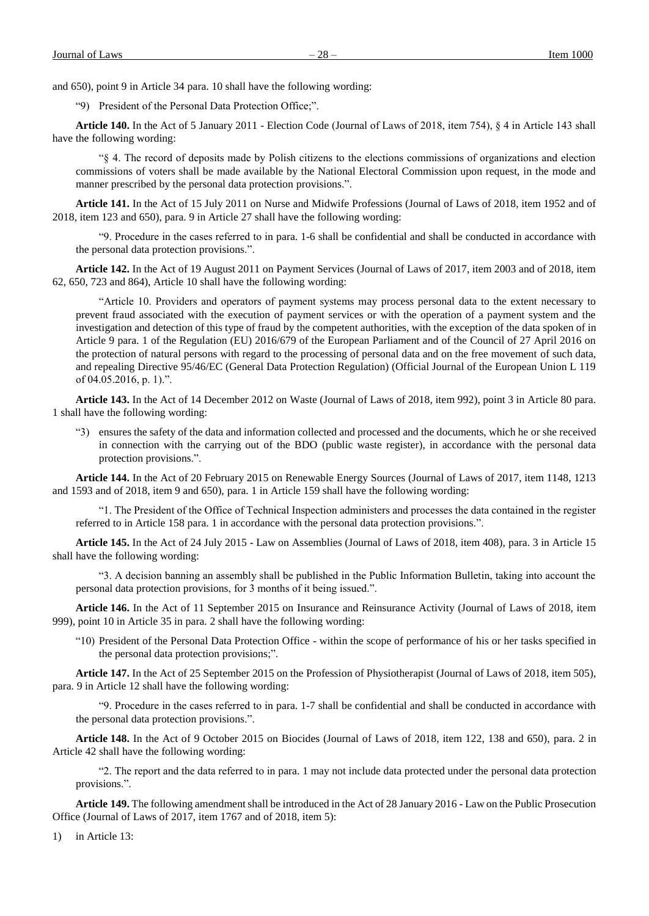and 650), point 9 in Article 34 para. 10 shall have the following wording:

"9) President of the Personal Data Protection Office;".

**Article 140.** In the Act of 5 January 2011 - Election Code (Journal of Laws of 2018, item 754), § 4 in Article 143 shall have the following wording:

"§ 4. The record of deposits made by Polish citizens to the elections commissions of organizations and election commissions of voters shall be made available by the National Electoral Commission upon request, in the mode and manner prescribed by the personal data protection provisions.".

**Article 141.** In the Act of 15 July 2011 on Nurse and Midwife Professions (Journal of Laws of 2018, item 1952 and of 2018, item 123 and 650), para. 9 in Article 27 shall have the following wording:

"9. Procedure in the cases referred to in para. 1-6 shall be confidential and shall be conducted in accordance with the personal data protection provisions.".

**Article 142.** In the Act of 19 August 2011 on Payment Services (Journal of Laws of 2017, item 2003 and of 2018, item 62, 650, 723 and 864), Article 10 shall have the following wording:

"Article 10. Providers and operators of payment systems may process personal data to the extent necessary to prevent fraud associated with the execution of payment services or with the operation of a payment system and the investigation and detection of this type of fraud by the competent authorities, with the exception of the data spoken of in Article 9 para. 1 of the Regulation (EU) 2016/679 of the European Parliament and of the Council of 27 April 2016 on the protection of natural persons with regard to the processing of personal data and on the free movement of such data, and repealing Directive 95/46/EC (General Data Protection Regulation) (Official Journal of the European Union L 119 of 04.05.2016, p. 1).".

**Article 143.** In the Act of 14 December 2012 on Waste (Journal of Laws of 2018, item 992), point 3 in Article 80 para. 1 shall have the following wording:

"3) ensures the safety of the data and information collected and processed and the documents, which he or she received in connection with the carrying out of the BDO (public waste register), in accordance with the personal data protection provisions.".

**Article 144.** In the Act of 20 February 2015 on Renewable Energy Sources (Journal of Laws of 2017, item 1148, 1213 and 1593 and of 2018, item 9 and 650), para. 1 in Article 159 shall have the following wording:

"1. The President of the Office of Technical Inspection administers and processes the data contained in the register referred to in Article 158 para. 1 in accordance with the personal data protection provisions.".

**Article 145.** In the Act of 24 July 2015 - Law on Assemblies (Journal of Laws of 2018, item 408), para. 3 in Article 15 shall have the following wording:

"3. A decision banning an assembly shall be published in the Public Information Bulletin, taking into account the personal data protection provisions, for 3 months of it being issued.".

**Article 146.** In the Act of 11 September 2015 on Insurance and Reinsurance Activity (Journal of Laws of 2018, item 999), point 10 in Article 35 in para. 2 shall have the following wording:

"10) President of the Personal Data Protection Office - within the scope of performance of his or her tasks specified in the personal data protection provisions;".

**Article 147.** In the Act of 25 September 2015 on the Profession of Physiotherapist (Journal of Laws of 2018, item 505), para. 9 in Article 12 shall have the following wording:

"9. Procedure in the cases referred to in para. 1-7 shall be confidential and shall be conducted in accordance with the personal data protection provisions.".

**Article 148.** In the Act of 9 October 2015 on Biocides (Journal of Laws of 2018, item 122, 138 and 650), para. 2 in Article 42 shall have the following wording:

"2. The report and the data referred to in para. 1 may not include data protected under the personal data protection provisions.".

**Article 149.** The following amendment shall be introduced in the Act of 28 January 2016 - Law on the Public Prosecution Office (Journal of Laws of 2017, item 1767 and of 2018, item 5):

1) in Article 13: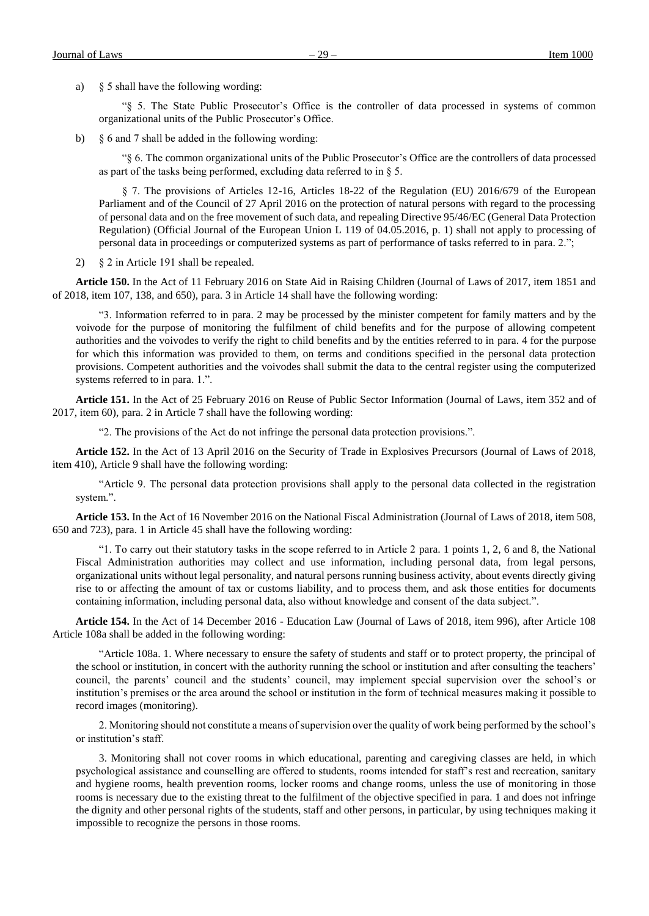a) § 5 shall have the following wording:

"§ 5. The State Public Prosecutor's Office is the controller of data processed in systems of common organizational units of the Public Prosecutor's Office.

b) § 6 and 7 shall be added in the following wording:

"§ 6. The common organizational units of the Public Prosecutor's Office are the controllers of data processed as part of the tasks being performed, excluding data referred to in § 5.

§ 7. The provisions of Articles 12-16, Articles 18-22 of the Regulation (EU) 2016/679 of the European Parliament and of the Council of 27 April 2016 on the protection of natural persons with regard to the processing of personal data and on the free movement of such data, and repealing Directive 95/46/EC (General Data Protection Regulation) (Official Journal of the European Union L 119 of 04.05.2016, p. 1) shall not apply to processing of personal data in proceedings or computerized systems as part of performance of tasks referred to in para. 2.";

2) § 2 in Article 191 shall be repealed.

**Article 150.** In the Act of 11 February 2016 on State Aid in Raising Children (Journal of Laws of 2017, item 1851 and of 2018, item 107, 138, and 650), para. 3 in Article 14 shall have the following wording:

"3. Information referred to in para. 2 may be processed by the minister competent for family matters and by the voivode for the purpose of monitoring the fulfilment of child benefits and for the purpose of allowing competent authorities and the voivodes to verify the right to child benefits and by the entities referred to in para. 4 for the purpose for which this information was provided to them, on terms and conditions specified in the personal data protection provisions. Competent authorities and the voivodes shall submit the data to the central register using the computerized systems referred to in para. 1.".

**Article 151.** In the Act of 25 February 2016 on Reuse of Public Sector Information (Journal of Laws, item 352 and of 2017, item 60), para. 2 in Article 7 shall have the following wording:

"2. The provisions of the Act do not infringe the personal data protection provisions.".

**Article 152.** In the Act of 13 April 2016 on the Security of Trade in Explosives Precursors (Journal of Laws of 2018, item 410), Article 9 shall have the following wording:

"Article 9. The personal data protection provisions shall apply to the personal data collected in the registration system.".

**Article 153.** In the Act of 16 November 2016 on the National Fiscal Administration (Journal of Laws of 2018, item 508, 650 and 723), para. 1 in Article 45 shall have the following wording:

"1. To carry out their statutory tasks in the scope referred to in Article 2 para. 1 points 1, 2, 6 and 8, the National Fiscal Administration authorities may collect and use information, including personal data, from legal persons, organizational units without legal personality, and natural persons running business activity, about events directly giving rise to or affecting the amount of tax or customs liability, and to process them, and ask those entities for documents containing information, including personal data, also without knowledge and consent of the data subject.".

**Article 154.** In the Act of 14 December 2016 - Education Law (Journal of Laws of 2018, item 996), after Article 108 Article 108a shall be added in the following wording:

"Article 108a. 1. Where necessary to ensure the safety of students and staff or to protect property, the principal of the school or institution, in concert with the authority running the school or institution and after consulting the teachers' council, the parents' council and the students' council, may implement special supervision over the school's or institution's premises or the area around the school or institution in the form of technical measures making it possible to record images (monitoring).

2. Monitoring should not constitute a means of supervision over the quality of work being performed by the school's or institution's staff.

3. Monitoring shall not cover rooms in which educational, parenting and caregiving classes are held, in which psychological assistance and counselling are offered to students, rooms intended for staff's rest and recreation, sanitary and hygiene rooms, health prevention rooms, locker rooms and change rooms, unless the use of monitoring in those rooms is necessary due to the existing threat to the fulfilment of the objective specified in para. 1 and does not infringe the dignity and other personal rights of the students, staff and other persons, in particular, by using techniques making it impossible to recognize the persons in those rooms.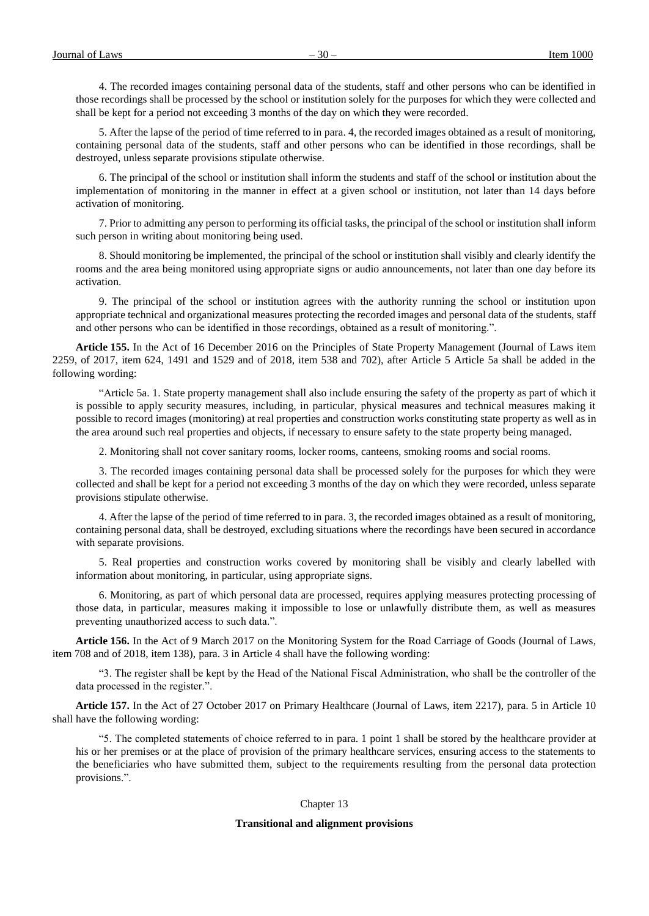4. The recorded images containing personal data of the students, staff and other persons who can be identified in those recordings shall be processed by the school or institution solely for the purposes for which they were collected and shall be kept for a period not exceeding 3 months of the day on which they were recorded.

5. After the lapse of the period of time referred to in para. 4, the recorded images obtained as a result of monitoring, containing personal data of the students, staff and other persons who can be identified in those recordings, shall be destroyed, unless separate provisions stipulate otherwise.

6. The principal of the school or institution shall inform the students and staff of the school or institution about the implementation of monitoring in the manner in effect at a given school or institution, not later than 14 days before activation of monitoring.

7. Prior to admitting any person to performing its official tasks, the principal of the school or institution shall inform such person in writing about monitoring being used.

8. Should monitoring be implemented, the principal of the school or institution shall visibly and clearly identify the rooms and the area being monitored using appropriate signs or audio announcements, not later than one day before its activation.

9. The principal of the school or institution agrees with the authority running the school or institution upon appropriate technical and organizational measures protecting the recorded images and personal data of the students, staff and other persons who can be identified in those recordings, obtained as a result of monitoring.".

**Article 155.** In the Act of 16 December 2016 on the Principles of State Property Management (Journal of Laws item 2259, of 2017, item 624, 1491 and 1529 and of 2018, item 538 and 702), after Article 5 Article 5a shall be added in the following wording:

"Article 5a. 1. State property management shall also include ensuring the safety of the property as part of which it is possible to apply security measures, including, in particular, physical measures and technical measures making it possible to record images (monitoring) at real properties and construction works constituting state property as well as in the area around such real properties and objects, if necessary to ensure safety to the state property being managed.

2. Monitoring shall not cover sanitary rooms, locker rooms, canteens, smoking rooms and social rooms.

3. The recorded images containing personal data shall be processed solely for the purposes for which they were collected and shall be kept for a period not exceeding 3 months of the day on which they were recorded, unless separate provisions stipulate otherwise.

4. After the lapse of the period of time referred to in para. 3, the recorded images obtained as a result of monitoring, containing personal data, shall be destroyed, excluding situations where the recordings have been secured in accordance with separate provisions.

5. Real properties and construction works covered by monitoring shall be visibly and clearly labelled with information about monitoring, in particular, using appropriate signs.

6. Monitoring, as part of which personal data are processed, requires applying measures protecting processing of those data, in particular, measures making it impossible to lose or unlawfully distribute them, as well as measures preventing unauthorized access to such data.".

**Article 156.** In the Act of 9 March 2017 on the Monitoring System for the Road Carriage of Goods (Journal of Laws, item 708 and of 2018, item 138), para. 3 in Article 4 shall have the following wording:

"3. The register shall be kept by the Head of the National Fiscal Administration, who shall be the controller of the data processed in the register.".

**Article 157.** In the Act of 27 October 2017 on Primary Healthcare (Journal of Laws, item 2217), para. 5 in Article 10 shall have the following wording:

"5. The completed statements of choice referred to in para. 1 point 1 shall be stored by the healthcare provider at his or her premises or at the place of provision of the primary healthcare services, ensuring access to the statements to the beneficiaries who have submitted them, subject to the requirements resulting from the personal data protection provisions.".

# Chapter 13

# **Transitional and alignment provisions**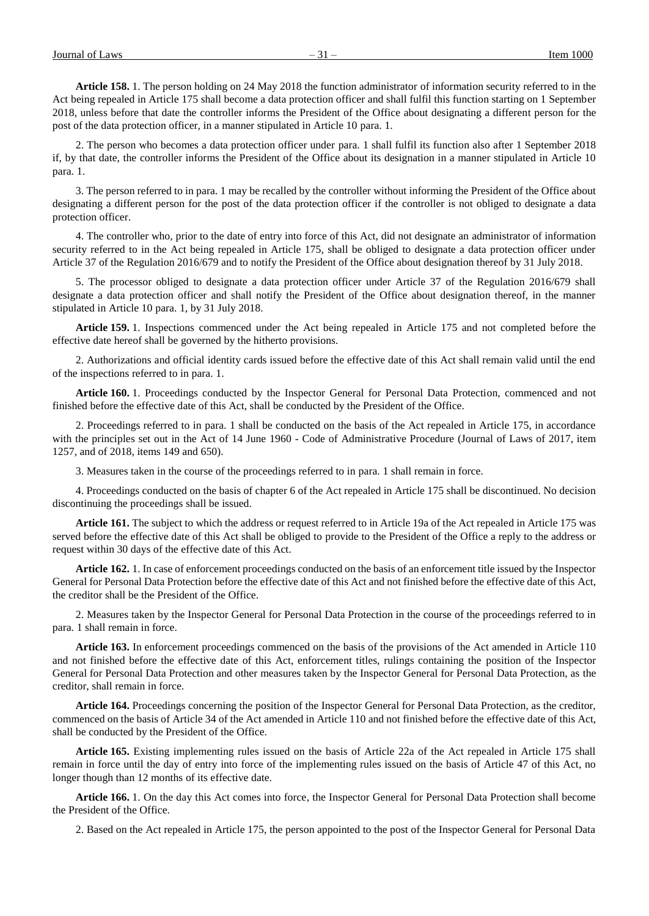**Article 158.** 1. The person holding on 24 May 2018 the function administrator of information security referred to in the Act being repealed in Article 175 shall become a data protection officer and shall fulfil this function starting on 1 September 2018, unless before that date the controller informs the President of the Office about designating a different person for the post of the data protection officer, in a manner stipulated in Article 10 para. 1.

2. The person who becomes a data protection officer under para. 1 shall fulfil its function also after 1 September 2018 if, by that date, the controller informs the President of the Office about its designation in a manner stipulated in Article 10 para. 1.

3. The person referred to in para. 1 may be recalled by the controller without informing the President of the Office about designating a different person for the post of the data protection officer if the controller is not obliged to designate a data protection officer.

4. The controller who, prior to the date of entry into force of this Act, did not designate an administrator of information security referred to in the Act being repealed in Article 175, shall be obliged to designate a data protection officer under Article 37 of the Regulation 2016/679 and to notify the President of the Office about designation thereof by 31 July 2018.

5. The processor obliged to designate a data protection officer under Article 37 of the Regulation 2016/679 shall designate a data protection officer and shall notify the President of the Office about designation thereof, in the manner stipulated in Article 10 para. 1, by 31 July 2018.

**Article 159.** 1. Inspections commenced under the Act being repealed in Article 175 and not completed before the effective date hereof shall be governed by the hitherto provisions.

2. Authorizations and official identity cards issued before the effective date of this Act shall remain valid until the end of the inspections referred to in para. 1.

**Article 160.** 1. Proceedings conducted by the Inspector General for Personal Data Protection, commenced and not finished before the effective date of this Act, shall be conducted by the President of the Office.

2. Proceedings referred to in para. 1 shall be conducted on the basis of the Act repealed in Article 175, in accordance with the principles set out in the Act of 14 June 1960 - Code of Administrative Procedure (Journal of Laws of 2017, item 1257, and of 2018, items 149 and 650).

3. Measures taken in the course of the proceedings referred to in para. 1 shall remain in force.

4. Proceedings conducted on the basis of chapter 6 of the Act repealed in Article 175 shall be discontinued. No decision discontinuing the proceedings shall be issued.

**Article 161.** The subject to which the address or request referred to in Article 19a of the Act repealed in Article 175 was served before the effective date of this Act shall be obliged to provide to the President of the Office a reply to the address or request within 30 days of the effective date of this Act.

**Article 162.** 1. In case of enforcement proceedings conducted on the basis of an enforcement title issued by the Inspector General for Personal Data Protection before the effective date of this Act and not finished before the effective date of this Act, the creditor shall be the President of the Office.

2. Measures taken by the Inspector General for Personal Data Protection in the course of the proceedings referred to in para. 1 shall remain in force.

**Article 163.** In enforcement proceedings commenced on the basis of the provisions of the Act amended in Article 110 and not finished before the effective date of this Act, enforcement titles, rulings containing the position of the Inspector General for Personal Data Protection and other measures taken by the Inspector General for Personal Data Protection, as the creditor, shall remain in force.

**Article 164.** Proceedings concerning the position of the Inspector General for Personal Data Protection, as the creditor, commenced on the basis of Article 34 of the Act amended in Article 110 and not finished before the effective date of this Act, shall be conducted by the President of the Office.

**Article 165.** Existing implementing rules issued on the basis of Article 22a of the Act repealed in Article 175 shall remain in force until the day of entry into force of the implementing rules issued on the basis of Article 47 of this Act, no longer though than 12 months of its effective date.

**Article 166.** 1. On the day this Act comes into force, the Inspector General for Personal Data Protection shall become the President of the Office.

2. Based on the Act repealed in Article 175, the person appointed to the post of the Inspector General for Personal Data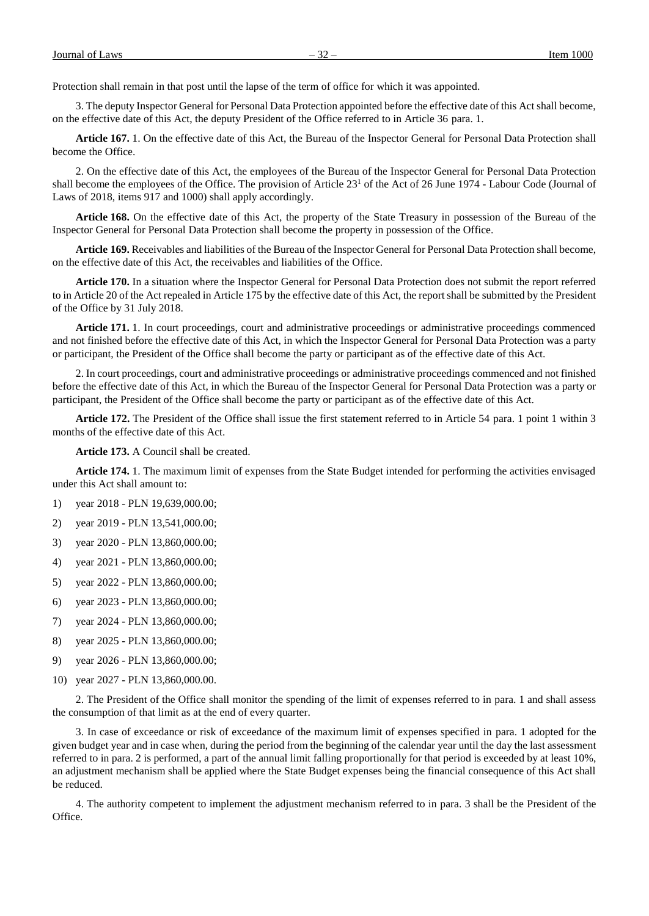Protection shall remain in that post until the lapse of the term of office for which it was appointed.

3. The deputy Inspector General for Personal Data Protection appointed before the effective date of this Act shall become, on the effective date of this Act, the deputy President of the Office referred to in Article 36 para. 1.

**Article 167.** 1. On the effective date of this Act, the Bureau of the Inspector General for Personal Data Protection shall become the Office.

2. On the effective date of this Act, the employees of the Bureau of the Inspector General for Personal Data Protection shall become the employees of the Office. The provision of Article 23<sup>1</sup> of the Act of 26 June 1974 - Labour Code (Journal of Laws of 2018, items 917 and 1000) shall apply accordingly.

**Article 168.** On the effective date of this Act, the property of the State Treasury in possession of the Bureau of the Inspector General for Personal Data Protection shall become the property in possession of the Office.

**Article 169.** Receivables and liabilities of the Bureau of the Inspector General for Personal Data Protection shall become, on the effective date of this Act, the receivables and liabilities of the Office.

**Article 170.** In a situation where the Inspector General for Personal Data Protection does not submit the report referred to in Article 20 of the Act repealed in Article 175 by the effective date of this Act, the report shall be submitted by the President of the Office by 31 July 2018.

**Article 171.** 1. In court proceedings, court and administrative proceedings or administrative proceedings commenced and not finished before the effective date of this Act, in which the Inspector General for Personal Data Protection was a party or participant, the President of the Office shall become the party or participant as of the effective date of this Act.

2. In court proceedings, court and administrative proceedings or administrative proceedings commenced and not finished before the effective date of this Act, in which the Bureau of the Inspector General for Personal Data Protection was a party or participant, the President of the Office shall become the party or participant as of the effective date of this Act.

**Article 172.** The President of the Office shall issue the first statement referred to in Article 54 para. 1 point 1 within 3 months of the effective date of this Act.

**Article 173.** A Council shall be created.

**Article 174.** 1. The maximum limit of expenses from the State Budget intended for performing the activities envisaged under this Act shall amount to:

- 1) year 2018 PLN 19,639,000.00;
- 2) year 2019 PLN 13,541,000.00;
- 3) year 2020 PLN 13,860,000.00;
- 4) year 2021 PLN 13,860,000.00;
- 5) year 2022 PLN 13,860,000.00;
- 6) year 2023 PLN 13,860,000.00;
- 7) year 2024 PLN 13,860,000.00;
- 8) year 2025 PLN 13,860,000.00;
- 9) year 2026 PLN 13,860,000.00;
- 10) year 2027 PLN 13,860,000.00.

2. The President of the Office shall monitor the spending of the limit of expenses referred to in para. 1 and shall assess the consumption of that limit as at the end of every quarter.

3. In case of exceedance or risk of exceedance of the maximum limit of expenses specified in para. 1 adopted for the given budget year and in case when, during the period from the beginning of the calendar year until the day the last assessment referred to in para. 2 is performed, a part of the annual limit falling proportionally for that period is exceeded by at least 10%, an adjustment mechanism shall be applied where the State Budget expenses being the financial consequence of this Act shall be reduced.

4. The authority competent to implement the adjustment mechanism referred to in para. 3 shall be the President of the Office.